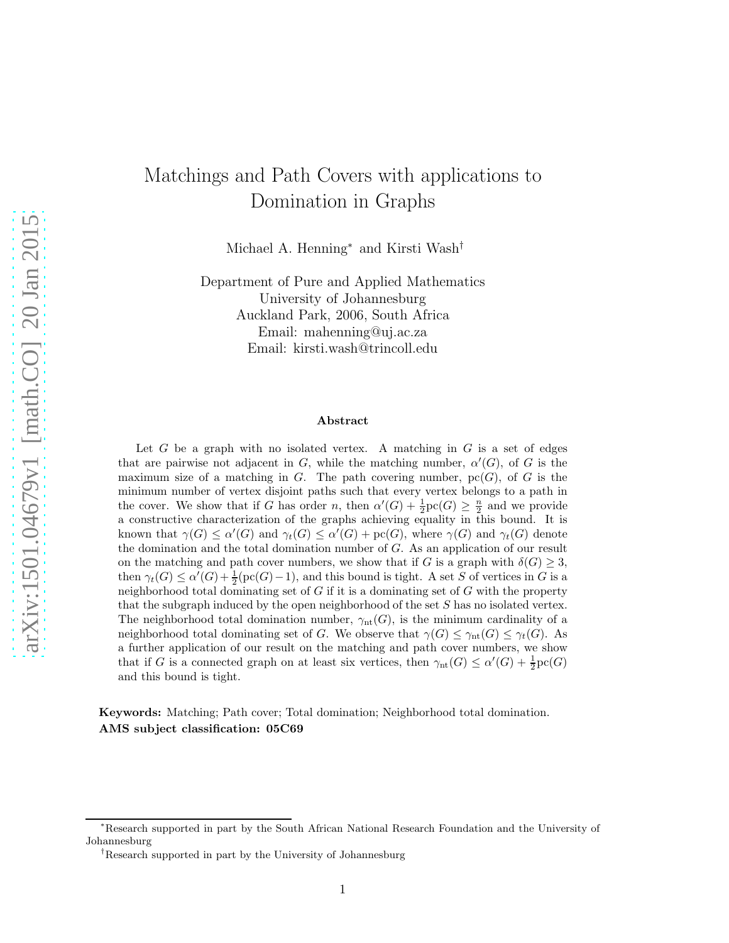# Matchings and Path Covers with applications to Domination in Graphs

Michael A. Henning<sup>∗</sup> and Kirsti Wash†

Department of Pure and Applied Mathematics University of Johannesburg Auckland Park, 2006, South Africa Email: mahenning@uj.ac.za Email: kirsti.wash@trincoll.edu

#### Abstract

Let G be a graph with no isolated vertex. A matching in  $G$  is a set of edges that are pairwise not adjacent in G, while the matching number,  $\alpha'(G)$ , of G is the maximum size of a matching in  $G$ . The path covering number,  $\text{pc}(G)$ , of G is the minimum number of vertex disjoint paths such that every vertex belongs to a path in the cover. We show that if G has order n, then  $\alpha'(G) + \frac{1}{2}\text{pc}(G) \geq \frac{n}{2}$  and we provide a constructive characterization of the graphs achieving equality in this bound. It is known that  $\gamma(G) \leq \alpha'(G)$  and  $\gamma_t(G) \leq \alpha'(G) + \text{pc}(G)$ , where  $\gamma(G)$  and  $\gamma_t(G)$  denote the domination and the total domination number of G. As an application of our result on the matching and path cover numbers, we show that if G is a graph with  $\delta(G) \geq 3$ , then  $\gamma_t(G) \le \alpha'(G) + \frac{1}{2} (\text{pc}(G) - 1)$ , and this bound is tight. A set S of vertices in G is a neighborhood total dominating set of  $G$  if it is a dominating set of  $G$  with the property that the subgraph induced by the open neighborhood of the set S has no isolated vertex. The neighborhood total domination number,  $\gamma_{nt}(G)$ , is the minimum cardinality of a neighborhood total dominating set of G. We observe that  $\gamma(G) \leq \gamma_{\text{nt}}(G) \leq \gamma_t(G)$ . As a further application of our result on the matching and path cover numbers, we show that if G is a connected graph on at least six vertices, then  $\gamma_{nt}(G) \leq \alpha'(G) + \frac{1}{2}pc(G)$ and this bound is tight.

Keywords: Matching; Path cover; Total domination; Neighborhood total domination. AMS subject classification: 05C69

<sup>∗</sup>Research supported in part by the South African National Research Foundation and the University of Johannesburg

<sup>†</sup>Research supported in part by the University of Johannesburg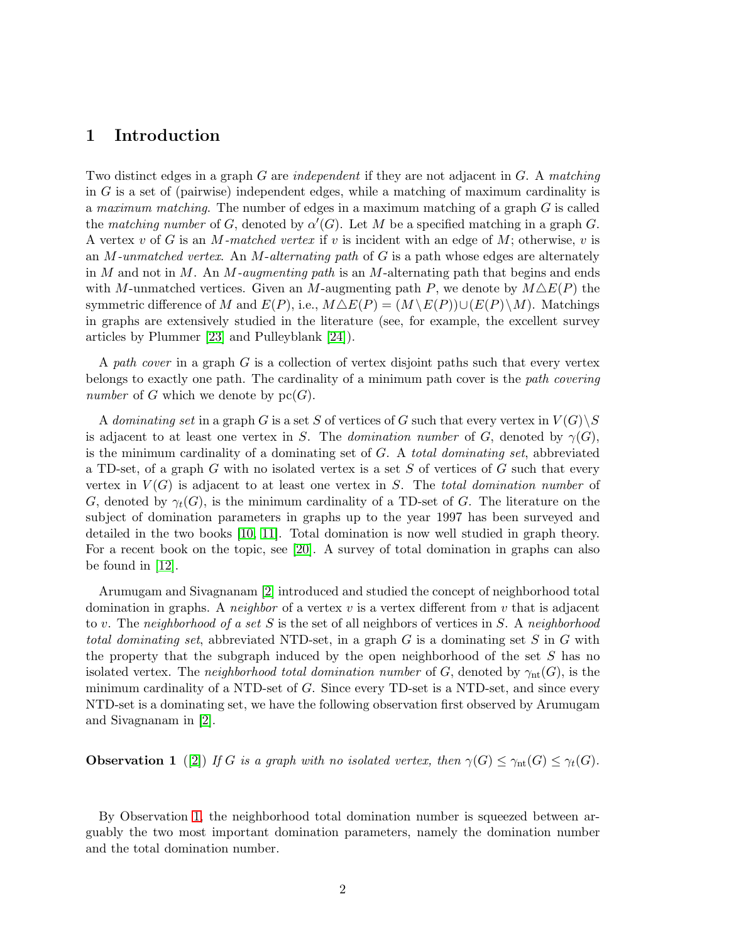### 1 Introduction

Two distinct edges in a graph G are *independent* if they are not adjacent in G. A *matching* in G is a set of (pairwise) independent edges, while a matching of maximum cardinality is a *maximum matching*. The number of edges in a maximum matching of a graph G is called the *matching number* of  $G$ , denoted by  $\alpha'(G)$ . Let M be a specified matching in a graph  $G$ . A vertex v of G is an M*-matched vertex* if v is incident with an edge of M; otherwise, v is an M*-unmatched vertex*. An M-*alternating path* of G is a path whose edges are alternately in M and not in M. An M*-augmenting path* is an M-alternating path that begins and ends with M-unmatched vertices. Given an M-augmenting path P, we denote by  $M \triangle E(P)$  the symmetric difference of M and  $E(P)$ , i.e.,  $M \Delta E(P) = (M \backslash E(P)) \cup (E(P) \backslash M)$ . Matchings in graphs are extensively studied in the literature (see, for example, the excellent survey articles by Plummer [\[23\]](#page-17-0) and Pulleyblank [\[24\]](#page-17-1)).

A *path cover* in a graph G is a collection of vertex disjoint paths such that every vertex belongs to exactly one path. The cardinality of a minimum path cover is the *path covering number* of G which we denote by  $pc(G)$ .

A *dominating set* in a graph G is a set S of vertices of G such that every vertex in  $V(G) \backslash S$ is adjacent to at least one vertex in S. The *domination number* of G, denoted by  $\gamma(G)$ , is the minimum cardinality of a dominating set of G. A *total dominating set*, abbreviated a TD-set, of a graph  $G$  with no isolated vertex is a set  $S$  of vertices of  $G$  such that every vertex in  $V(G)$  is adjacent to at least one vertex in S. The *total domination number* of G, denoted by  $\gamma_t(G)$ , is the minimum cardinality of a TD-set of G. The literature on the subject of domination parameters in graphs up to the year 1997 has been surveyed and detailed in the two books [\[10,](#page-17-2) [11\]](#page-17-3). Total domination is now well studied in graph theory. For a recent book on the topic, see [\[20\]](#page-17-4). A survey of total domination in graphs can also be found in [\[12\]](#page-17-5).

Arumugam and Sivagnanam [\[2\]](#page-16-0) introduced and studied the concept of neighborhood total domination in graphs. A *neighbor* of a vertex  $v$  is a vertex different from  $v$  that is adjacent to v. The *neighborhood of a set* S is the set of all neighbors of vertices in S. A *neighborhood total dominating set*, abbreviated NTD-set, in a graph G is a dominating set S in G with the property that the subgraph induced by the open neighborhood of the set  $S$  has no isolated vertex. The *neighborhood total domination number* of G, denoted by  $\gamma_{nt}(G)$ , is the minimum cardinality of a NTD-set of G. Since every TD-set is a NTD-set, and since every NTD-set is a dominating set, we have the following observation first observed by Arumugam and Sivagnanam in [\[2\]](#page-16-0).

<span id="page-1-0"></span>**Observation 1** ([\[2\]](#page-16-0)) *If* G is a graph with no isolated vertex, then  $\gamma(G) \leq \gamma_{nt}(G) \leq \gamma_t(G)$ .

By Observation [1,](#page-1-0) the neighborhood total domination number is squeezed between arguably the two most important domination parameters, namely the domination number and the total domination number.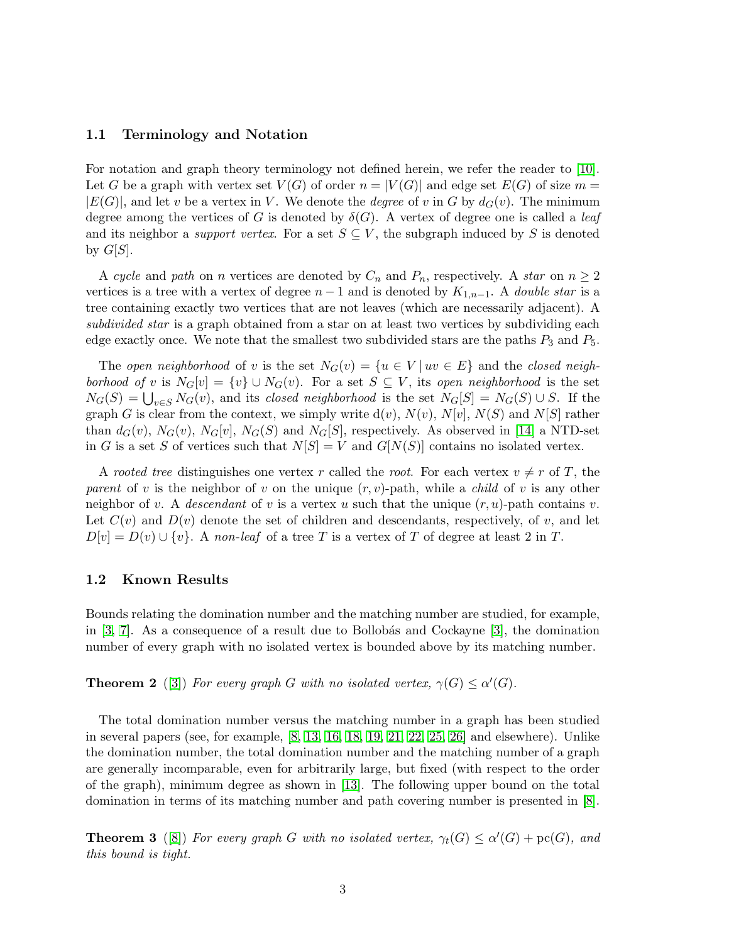#### 1.1 Terminology and Notation

For notation and graph theory terminology not defined herein, we refer the reader to [\[10\]](#page-17-2). Let G be a graph with vertex set  $V(G)$  of order  $n = |V(G)|$  and edge set  $E(G)$  of size  $m =$  $|E(G)|$ , and let v be a vertex in V. We denote the *degree* of v in G by  $d_G(v)$ . The minimum degree among the vertices of G is denoted by  $\delta(G)$ . A vertex of degree one is called a *leaf* and its neighbor a *support vertex*. For a set  $S \subseteq V$ , the subgraph induced by S is denoted by  $G[S]$ .

A *cycle* and *path* on *n* vertices are denoted by  $C_n$  and  $P_n$ , respectively. A *star* on  $n \geq 2$ vertices is a tree with a vertex of degree  $n-1$  and is denoted by  $K_{1,n-1}$ . A *double star* is a tree containing exactly two vertices that are not leaves (which are necessarily adjacent). A *subdivided star* is a graph obtained from a star on at least two vertices by subdividing each edge exactly once. We note that the smallest two subdivided stars are the paths  $P_3$  and  $P_5$ .

The *open neighborhood* of v is the set  $N_G(v) = \{u \in V | uv \in E\}$  and the *closed neighborhood of* v is  $N_G[v] = \{v\} \cup N_G(v)$ . For a set  $S \subseteq V$ , its *open neighborhood* is the set  $N_G(S) = \bigcup_{v \in S} N_G(v)$ , and its *closed neighborhood* is the set  $N_G[S] = N_G(S) \cup S$ . If the graph G is clear from the context, we simply write  $d(v)$ ,  $N(v)$ ,  $N[v]$ ,  $N(S)$  and  $N[S]$  rather than  $d_G(v)$ ,  $N_G(v)$ ,  $N_G[v]$ ,  $N_G(S)$  and  $N_G[S]$ , respectively. As observed in [\[14\]](#page-17-6) a NTD-set in G is a set S of vertices such that  $N[S] = V$  and  $G[N(S)]$  contains no isolated vertex.

A *rooted tree* distinguishes one vertex r called the *root*. For each vertex  $v \neq r$  of T, the *parent* of v is the neighbor of v on the unique  $(r, v)$ -path, while a *child* of v is any other neighbor of v. A *descendant* of v is a vertex u such that the unique  $(r, u)$ -path contains v. Let  $C(v)$  and  $D(v)$  denote the set of children and descendants, respectively, of v, and let  $D[v] = D(v) \cup \{v\}$ . A *non-leaf* of a tree T is a vertex of T of degree at least 2 in T.

#### 1.2 Known Results

Bounds relating the domination number and the matching number are studied, for example, in  $[3, 7]$  $[3, 7]$ . As a consequence of a result due to Bollobás and Cockayne  $[3]$ , the domination number of every graph with no isolated vertex is bounded above by its matching number.

**Theorem 2** ([\[3\]](#page-16-1)) *For every graph* G with no isolated vertex,  $\gamma(G) \leq \alpha'(G)$ *.* 

The total domination number versus the matching number in a graph has been studied in several papers (see, for example, [\[8,](#page-16-3) [13,](#page-17-7) [16,](#page-17-8) [18,](#page-17-9) [19,](#page-17-10) [21,](#page-17-11) [22,](#page-17-12) [25,](#page-17-13) [26\]](#page-17-14) and elsewhere). Unlike the domination number, the total domination number and the matching number of a graph are generally incomparable, even for arbitrarily large, but fixed (with respect to the order of the graph), minimum degree as shown in [\[13\]](#page-17-7). The following upper bound on the total domination in terms of its matching number and path covering number is presented in [\[8\]](#page-16-3).

<span id="page-2-0"></span>**Theorem 3** ([\[8\]](#page-16-3)) *For every graph* G with no isolated vertex,  $\gamma_t(G) \leq \alpha'(G) + \text{pc}(G)$ , and *this bound is tight.*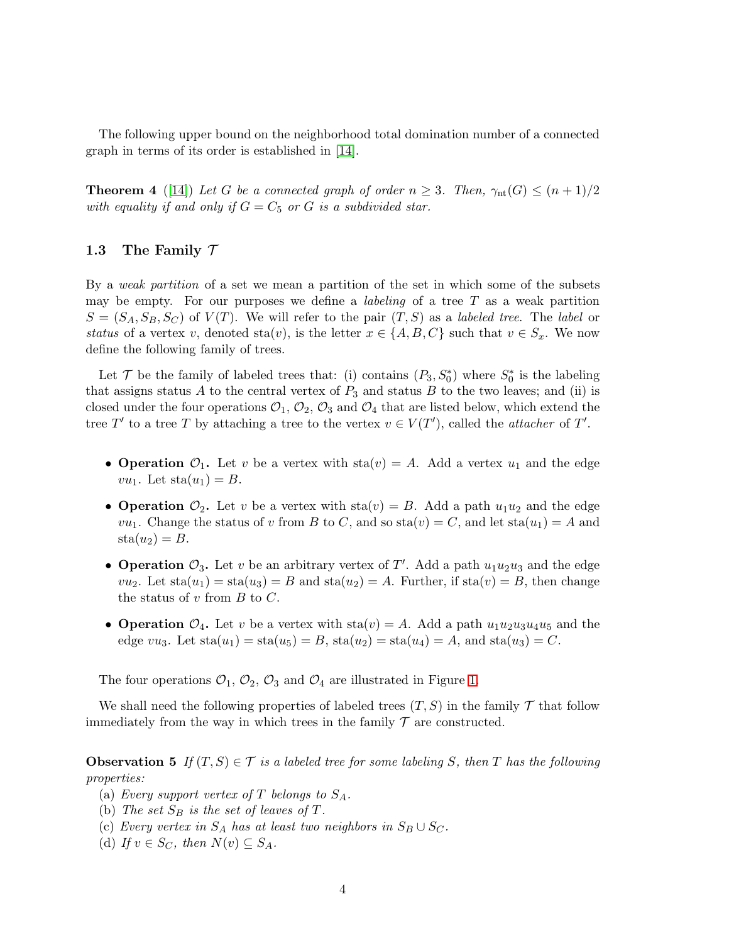<span id="page-3-1"></span>The following upper bound on the neighborhood total domination number of a connected graph in terms of its order is established in [\[14\]](#page-17-6).

**Theorem 4** ([\[14\]](#page-17-6)) Let G be a connected graph of order  $n \geq 3$ . Then,  $\gamma_{nt}(G) \leq (n+1)/2$ *with equality if and only if*  $G = C_5$  *or*  $G$  *is a subdivided star.* 

#### 1.3 The Family  $\mathcal T$

By a *weak partition* of a set we mean a partition of the set in which some of the subsets may be empty. For our purposes we define a *labeling* of a tree T as a weak partition  $S = (S_A, S_B, S_C)$  of  $V(T)$ . We will refer to the pair  $(T, S)$  as a *labeled tree*. The *label* or *status* of a vertex v, denoted sta $(v)$ , is the letter  $x \in \{A, B, C\}$  such that  $v \in S_x$ . We now define the following family of trees.

Let  $\mathcal T$  be the family of labeled trees that: (i) contains  $(P_3, S_0^*)$  where  $S_0^*$  is the labeling that assigns status A to the central vertex of  $P_3$  and status B to the two leaves; and (ii) is closed under the four operations  $\mathcal{O}_1$ ,  $\mathcal{O}_2$ ,  $\mathcal{O}_3$  and  $\mathcal{O}_4$  that are listed below, which extend the tree T' to a tree T by attaching a tree to the vertex  $v \in V(T')$ , called the *attacher* of T'.

- Operation  $\mathcal{O}_1$ . Let v be a vertex with  $sta(v) = A$ . Add a vertex  $u_1$  and the edge  $vu_1$ . Let  $sta(u_1) = B$ .
- Operation  $\mathcal{O}_2$ . Let v be a vertex with  $sta(v) = B$ . Add a path  $u_1u_2$  and the edge  $vu_1$ . Change the status of v from B to C, and so  $sta(v) = C$ , and let  $sta(u_1) = A$  and  $sta(u_2) = B.$
- Operation  $\mathcal{O}_3$ . Let v be an arbitrary vertex of T'. Add a path  $u_1u_2u_3$  and the edge  $vu_2$ . Let  $sta(u_1) = sta(u_3) = B$  and  $sta(u_2) = A$ . Further, if  $sta(v) = B$ , then change the status of  $v$  from  $B$  to  $C$ .
- Operation  $\mathcal{O}_4$ . Let v be a vertex with  $sta(v) = A$ . Add a path  $u_1u_2u_3u_4u_5$  and the edge vu<sub>3</sub>. Let  $sta(u_1) = sta(u_5) = B$ ,  $sta(u_2) = sta(u_4) = A$ , and  $sta(u_3) = C$ .

The four operations  $\mathcal{O}_1$ ,  $\mathcal{O}_2$ ,  $\mathcal{O}_3$  and  $\mathcal{O}_4$  are illustrated in Figure [1.](#page-4-0)

<span id="page-3-0"></span>We shall need the following properties of labeled trees  $(T, S)$  in the family T that follow immediately from the way in which trees in the family  $\mathcal T$  are constructed.

Observation 5 If  $(T, S) \in T$  *is a labeled tree for some labeling* S, then T has the following *properties:*

- (a) *Every support vertex of* T *belongs to*  $S_A$ *.*
- (b) The set  $S_B$  is the set of leaves of T.
- (c) *Every vertex in*  $S_A$  *has at least two neighbors in*  $S_B \cup S_C$ *.*
- (d) If  $v \in S_C$ , then  $N(v) \subseteq S_A$ .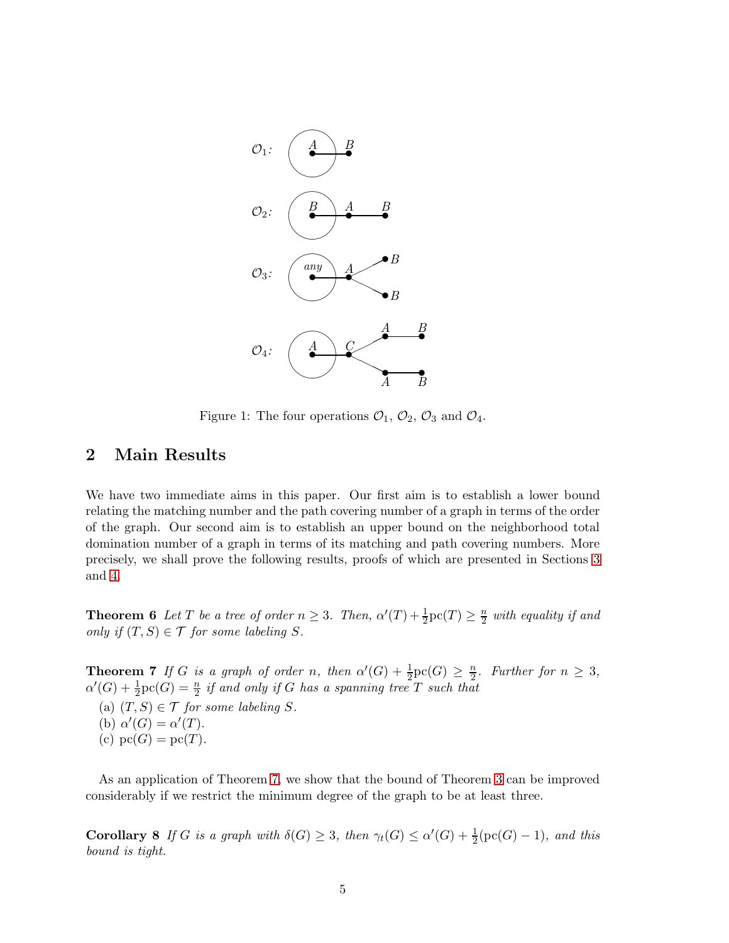<span id="page-4-0"></span>

Figure 1: The four operations  $\mathcal{O}_1$ ,  $\mathcal{O}_2$ ,  $\mathcal{O}_3$  and  $\mathcal{O}_4$ .

# 2 Main Results

We have two immediate aims in this paper. Our first aim is to establish a lower bound relating the matching number and the path covering number of a graph in terms of the order of the graph. Our second aim is to establish an upper bound on the neighborhood total domination number of a graph in terms of its matching and path covering numbers. More precisely, we shall prove the following results, proofs of which are presented in Sections [3](#page-5-0) and [4.](#page-13-0)

<span id="page-4-2"></span>**Theorem 6** Let T be a tree of order  $n \geq 3$ . Then,  $\alpha'(T) + \frac{1}{2}\text{pc}(T) \geq \frac{n}{2}$  $\frac{n}{2}$  with equality if and *only if*  $(T, S) \in T$  *for some labeling*  $S$ *.* 

<span id="page-4-1"></span>**Theorem 7** *If* G *is a graph of order* n, then  $\alpha'(G) + \frac{1}{2}\text{pc}(G) \geq \frac{n}{2}$ *. Further for*  $n \geq 3$ *,*  $\alpha'(G) + \frac{1}{2}\text{pc}(G) = \frac{n}{2}$  *if and only if* G *has a spanning tree* T *such that* 

(a)  $(T, S) \in \mathcal{T}$  *for some labeling* S. (b)  $\alpha'(G) = \alpha'(T)$ *.* 

(c)  $pc(G) = pc(T)$ *.* 

<span id="page-4-3"></span>As an application of Theorem [7,](#page-4-1) we show that the bound of Theorem [3](#page-2-0) can be improved considerably if we restrict the minimum degree of the graph to be at least three.

**Corollary 8** If G is a graph with  $\delta(G) \geq 3$ , then  $\gamma_t(G) \leq \alpha'(G) + \frac{1}{2}(\text{pc}(G) - 1)$ , and this *bound is tight.*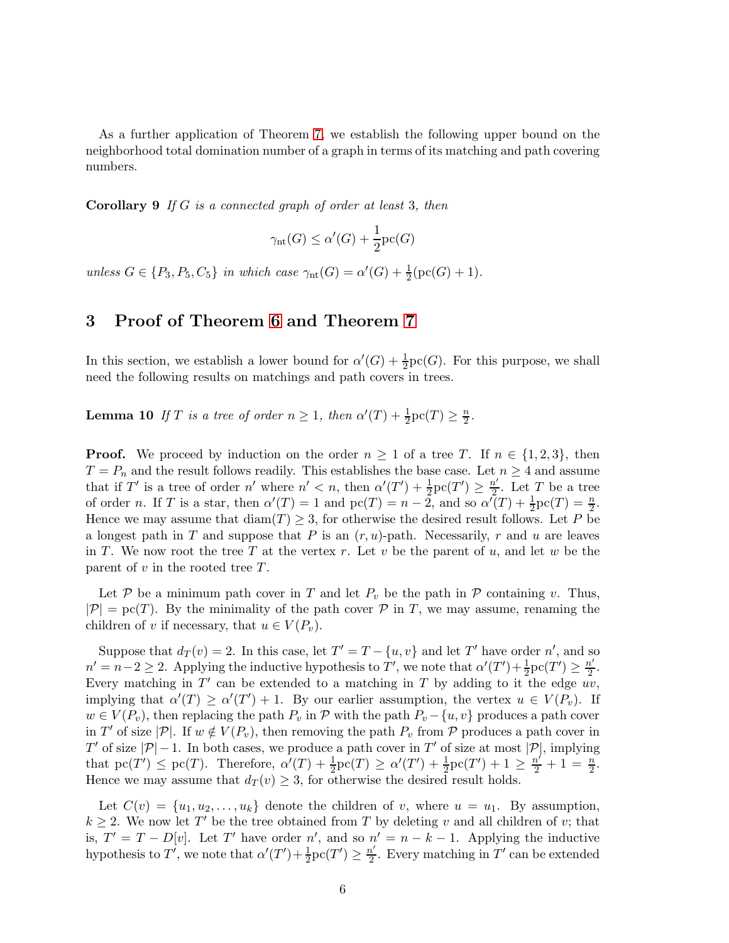<span id="page-5-2"></span>As a further application of Theorem [7,](#page-4-1) we establish the following upper bound on the neighborhood total domination number of a graph in terms of its matching and path covering numbers.

Corollary 9 *If* G *is a connected graph of order at least* 3*, then*

$$
\gamma_{\rm nt}(G) \le \alpha'(G) + \frac{1}{2} {\rm pc}(G)
$$

<span id="page-5-0"></span>*unless*  $G \in \{P_3, P_5, C_5\}$  *in which case*  $\gamma_{nt}(G) = \alpha'(G) + \frac{1}{2}(\text{pc}(G) + 1)$ *.* 

# 3 Proof of Theorem [6](#page-4-2) and Theorem [7](#page-4-1)

<span id="page-5-1"></span>In this section, we establish a lower bound for  $\alpha'(G) + \frac{1}{2}\text{pc}(G)$ . For this purpose, we shall need the following results on matchings and path covers in trees.

**Lemma 10** If T is a tree of order  $n \geq 1$ , then  $\alpha'(T) + \frac{1}{2}\text{pc}(T) \geq \frac{n}{2}$  $\frac{n}{2}$ .

**Proof.** We proceed by induction on the order  $n \geq 1$  of a tree T. If  $n \in \{1,2,3\}$ , then  $T = P_n$  and the result follows readily. This establishes the base case. Let  $n \geq 4$  and assume that if T' is a tree of order  $n'$  where  $n' < n$ , then  $\alpha'(T') + \frac{1}{2}\text{pc}(T') \geq \frac{n'}{2}$  $\frac{\tau}{2}$ . Let T be a tree of order *n*. If *T* is a star, then  $\alpha'(T) = 1$  and  $\text{pc}(T) = n - \tilde{2}$ , and so  $\alpha'(T) + \frac{1}{2}\text{pc}(T) = \frac{n}{2}$ . Hence we may assume that  $\text{diam}(T) \geq 3$ , for otherwise the desired result follows. Let P be a longest path in T and suppose that P is an  $(r, u)$ -path. Necessarily, r and u are leaves in T. We now root the tree T at the vertex r. Let v be the parent of u, and let w be the parent of  $v$  in the rooted tree  $T$ .

Let P be a minimum path cover in T and let  $P_v$  be the path in P containing v. Thus,  $|\mathcal{P}| = \text{pc}(T)$ . By the minimality of the path cover  $\mathcal{P}$  in T, we may assume, renaming the children of v if necessary, that  $u \in V(P_v)$ .

Suppose that  $d_T(v) = 2$ . In this case, let  $T' = T - \{u, v\}$  and let T' have order n', and so  $n' = n - 2 \ge 2$ . Applying the inductive hypothesis to  $T'$ , we note that  $\alpha'(T') + \frac{1}{2}pc(T') \ge \frac{n'}{2}$  $\frac{n'}{2}$ . Every matching in  $T'$  can be extended to a matching in T by adding to it the edge  $uv$ , implying that  $\alpha'(T) \ge \alpha'(T') + 1$ . By our earlier assumption, the vertex  $u \in V(P_v)$ . If  $w \in V(P_v)$ , then replacing the path  $P_v$  in  $\mathcal P$  with the path  $P_v - \{u, v\}$  produces a path cover in T' of size  $|\mathcal{P}|$ . If  $w \notin V(P_v)$ , then removing the path  $P_v$  from  $\mathcal P$  produces a path cover in T' of size  $|\mathcal{P}|-1$ . In both cases, we produce a path cover in T' of size at most  $|\mathcal{P}|$ , implying that  $\mathrm{pc}(T') \leq \mathrm{pc}(T)$ . Therefore,  $\alpha'(T) + \frac{1}{2}\mathrm{pc}(T) \geq \alpha'(T') + \frac{1}{2}\mathrm{pc}(T') + 1 \geq \frac{n'}{2} + 1 = \frac{n}{2}$ . Hence we may assume that  $d_T(v) \geq 3$ , for otherwise the desired result holds.

Let  $C(v) = \{u_1, u_2, \ldots, u_k\}$  denote the children of v, where  $u = u_1$ . By assumption,  $k \geq 2$ . We now let T' be the tree obtained from T by deleting v and all children of v; that is,  $T' = T - D[v]$ . Let T' have order n', and so  $n' = n - k - 1$ . Applying the inductive hypothesis to  $T'$ , we note that  $\alpha'(T') + \frac{1}{2}\text{pc}(T') \geq \frac{n'}{2}$  $\frac{n'}{2}$ . Every matching in T' can be extended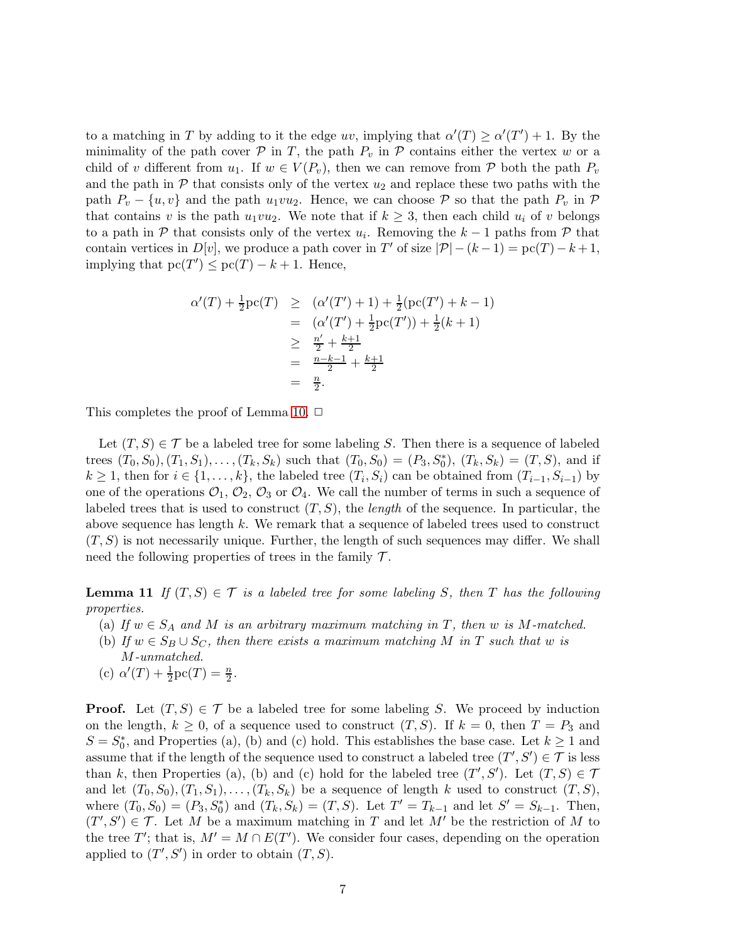to a matching in T by adding to it the edge uv, implying that  $\alpha'(T) \geq \alpha'(T') + 1$ . By the minimality of the path cover  $P$  in T, the path  $P_v$  in  $P$  contains either the vertex w or a child of v different from  $u_1$ . If  $w \in V(P_v)$ , then we can remove from P both the path  $P_v$ and the path in  $\mathcal P$  that consists only of the vertex  $u_2$  and replace these two paths with the path  $P_v - \{u, v\}$  and the path  $u_1v_2$ . Hence, we can choose P so that the path  $P_v$  in P that contains v is the path  $u_1vu_2$ . We note that if  $k \geq 3$ , then each child  $u_i$  of v belongs to a path in  $P$  that consists only of the vertex  $u_i$ . Removing the  $k-1$  paths from  $P$  that contain vertices in  $D[v]$ , we produce a path cover in T' of size  $|\mathcal{P}| - (k-1) = \text{pc}(T) - k + 1$ , implying that  $pc(T') \leq pc(T) - k + 1$ . Hence,

$$
\alpha'(T) + \frac{1}{2}\text{pc}(T) \geq (\alpha'(T') + 1) + \frac{1}{2}(\text{pc}(T') + k - 1)
$$
  
=  $(\alpha'(T') + \frac{1}{2}\text{pc}(T')) + \frac{1}{2}(k + 1)$   
 $\geq \frac{n'}{2} + \frac{k+1}{2}$   
=  $\frac{n-k-1}{2} + \frac{k+1}{2}$   
=  $\frac{n}{2}$ .

This completes the proof of Lemma [10.](#page-5-1)  $\Box$ 

Let  $(T, S) \in \mathcal{T}$  be a labeled tree for some labeling S. Then there is a sequence of labeled trees  $(T_0, S_0), (T_1, S_1), \ldots, (T_k, S_k)$  such that  $(T_0, S_0) = (P_3, S_0^*)$ ,  $(T_k, S_k) = (T, S)$ , and if  $k \geq 1$ , then for  $i \in \{1, \ldots, k\}$ , the labeled tree  $(T_i, S_i)$  can be obtained from  $(T_{i-1}, S_{i-1})$  by one of the operations  $\mathcal{O}_1$ ,  $\mathcal{O}_2$ ,  $\mathcal{O}_3$  or  $\mathcal{O}_4$ . We call the number of terms in such a sequence of labeled trees that is used to construct  $(T, S)$ , the *length* of the sequence. In particular, the above sequence has length k. We remark that a sequence of labeled trees used to construct  $(T, S)$  is not necessarily unique. Further, the length of such sequences may differ. We shall need the following properties of trees in the family  $\mathcal{T}$ .

<span id="page-6-0"></span>**Lemma 11** If  $(T, S) \in \mathcal{T}$  *is a labeled tree for some labeling* S, then T has the following *properties.*

- (a) If  $w \in S_A$  and M is an arbitrary maximum matching in T, then w is M-matched.
- (b) If  $w \in S_B \cup S_C$ , then there exists a maximum matching M in T such that w is
- M*-unmatched.* (c)  $\alpha'(T) + \frac{1}{2}\text{pc}(T) = \frac{n}{2}$ .

**Proof.** Let  $(T, S) \in \mathcal{T}$  be a labeled tree for some labeling S. We proceed by induction on the length,  $k \geq 0$ , of a sequence used to construct  $(T, S)$ . If  $k = 0$ , then  $T = P_3$  and  $S = S_0^*$ , and Properties (a), (b) and (c) hold. This establishes the base case. Let  $k \ge 1$  and assume that if the length of the sequence used to construct a labeled tree  $(T', S') \in \mathcal{T}$  is less than k, then Properties (a), (b) and (c) hold for the labeled tree  $(T', S')$ . Let  $(T, S) \in \mathcal{T}$ and let  $(T_0, S_0), (T_1, S_1), \ldots, (T_k, S_k)$  be a sequence of length k used to construct  $(T, S)$ , where  $(T_0, S_0) = (P_3, S_0^*)$  and  $(T_k, S_k) = (T, S)$ . Let  $T' = T_{k-1}$  and let  $S' = S_{k-1}$ . Then,  $(T', S') \in \mathcal{T}$ . Let M be a maximum matching in T and let M' be the restriction of M to the tree T'; that is,  $M' = M \cap E(T')$ . We consider four cases, depending on the operation applied to  $(T', S')$  in order to obtain  $(T, S)$ .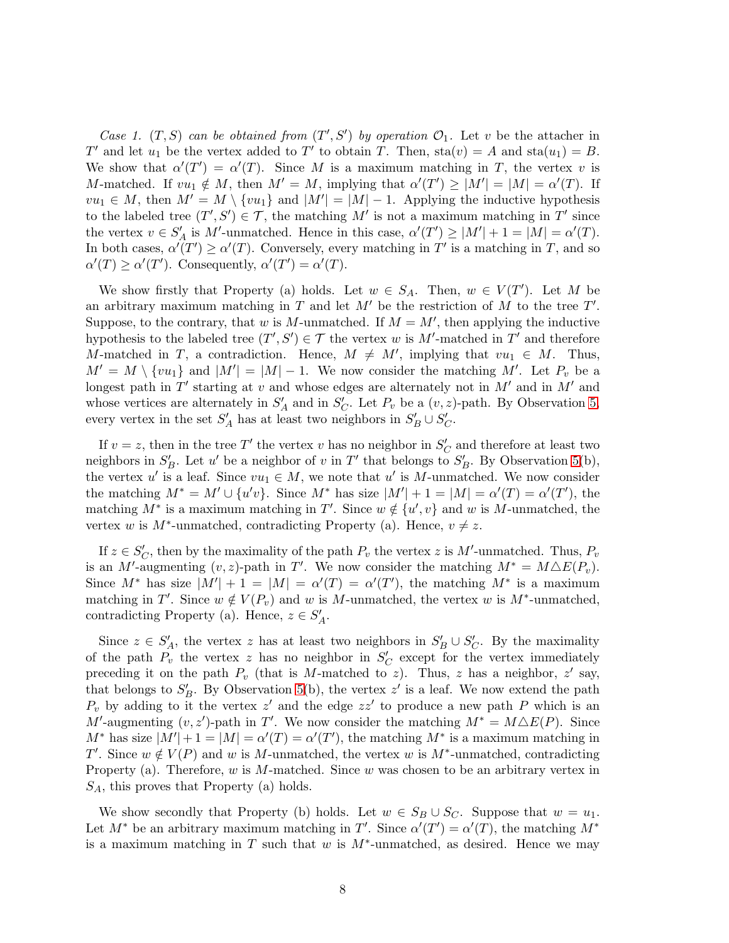*Case 1.*  $(T, S)$  *can be obtained from*  $(T', S')$  *by operation*  $\mathcal{O}_1$ *.* Let *v* be the attacher in T' and let  $u_1$  be the vertex added to T' to obtain T. Then,  $sta(v) = A$  and  $sta(u_1) = B$ . We show that  $\alpha'(T') = \alpha'(T)$ . Since M is a maximum matching in T, the vertex v is M-matched. If  $vu_1 \notin M$ , then  $M' = M$ , implying that  $\alpha'(T') \ge |M'| = |M| = \alpha'(T)$ . If  $vu_1 \in M$ , then  $M' = M \setminus \{vu_1\}$  and  $|M'| = |M| - 1$ . Applying the inductive hypothesis to the labeled tree  $(T', S') \in \mathcal{T}$ , the matching M' is not a maximum matching in T' since the vertex  $v \in S'_A$  is M'-unmatched. Hence in this case,  $\alpha'(T') \ge |M'| + 1 = |M| = \alpha'(T)$ . In both cases,  $\alpha'(T') \geq \alpha'(T)$ . Conversely, every matching in T' is a matching in T, and so  $\alpha'(T) \geq \alpha'(T')$ . Consequently,  $\alpha'(T') = \alpha'(T)$ .

We show firstly that Property (a) holds. Let  $w \in S_A$ . Then,  $w \in V(T')$ . Let M be an arbitrary maximum matching in  $T$  and let  $M'$  be the restriction of  $M$  to the tree  $T'$ . Suppose, to the contrary, that w is M-unmatched. If  $M = M'$ , then applying the inductive hypothesis to the labeled tree  $(T', S') \in \mathcal{T}$  the vertex w is M'-matched in T' and therefore M-matched in T, a contradiction. Hence,  $M \neq M'$ , implying that  $vu_1 \in M$ . Thus,  $M' = M \setminus \{vu_1\}$  and  $|M'| = |M| - 1$ . We now consider the matching M'. Let  $P_v$  be a longest path in  $T'$  starting at v and whose edges are alternately not in  $M'$  and in  $M'$  and whose vertices are alternately in  $S'_A$  and in  $S'_C$ . Let  $P_v$  be a  $(v, z)$ -path. By Observation [5,](#page-3-0) every vertex in the set  $S'_A$  has at least two neighbors in  $S'_B \cup S'_C$ .

If  $v = z$ , then in the tree T' the vertex v has no neighbor in  $S_C'$  and therefore at least two neighbors in  $S'_B$ . Let u' be a neighbor of v in T' that belongs to  $S'_B$ . By Observation [5\(](#page-3-0)b), the vertex u' is a leaf. Since  $vu_1 \in M$ , we note that u' is M-unmatched. We now consider the matching  $M^* = M' \cup \{u'v\}$ . Since  $M^*$  has size  $|M'| + 1 = |M| = \alpha'(T) = \alpha'(T')$ , the matching  $M^*$  is a maximum matching in T'. Since  $w \notin \{u', v\}$  and w is M-unmatched, the vertex w is  $M^*$ -unmatched, contradicting Property (a). Hence,  $v \neq z$ .

If  $z \in S_C'$ , then by the maximality of the path  $P_v$  the vertex z is M'-unmatched. Thus,  $P_v$ is an M'-augmenting  $(v, z)$ -path in T'. We now consider the matching  $M^* = M \triangle E(P_v)$ . Since  $M^*$  has size  $|M'| + 1 = |M| = \alpha'(T) = \alpha'(T')$ , the matching  $M^*$  is a maximum matching in T'. Since  $w \notin V(P_v)$  and w is M-unmatched, the vertex w is M<sup>\*</sup>-unmatched, contradicting Property (a). Hence,  $z \in S'_A$ .

Since  $z \in S'_A$ , the vertex z has at least two neighbors in  $S'_B \cup S'_C$ . By the maximality of the path  $P_v$  the vertex z has no neighbor in  $S_C'$  except for the vertex immediately preceding it on the path  $P_v$  (that is M-matched to z). Thus, z has a neighbor, z' say, that belongs to  $S'_B$ . By Observation [5\(](#page-3-0)b), the vertex  $z'$  is a leaf. We now extend the path  $P_v$  by adding to it the vertex z' and the edge zz' to produce a new path P which is an M'-augmenting  $(v, z')$ -path in T'. We now consider the matching  $M^* = M \Delta E(P)$ . Since  $M^*$  has size  $|M'| + 1 = |M| = \alpha'(T) = \alpha'(T')$ , the matching  $M^*$  is a maximum matching in T'. Since  $w \notin V(P)$  and w is M-unmatched, the vertex w is M<sup>\*</sup>-unmatched, contradicting Property (a). Therefore,  $w$  is  $M$ -matched. Since  $w$  was chosen to be an arbitrary vertex in  $S_A$ , this proves that Property (a) holds.

We show secondly that Property (b) holds. Let  $w \in S_B \cup S_C$ . Suppose that  $w = u_1$ . Let  $M^*$  be an arbitrary maximum matching in T'. Since  $\alpha'(T') = \alpha'(T)$ , the matching  $M^*$ is a maximum matching in T such that w is  $M^*$ -unmatched, as desired. Hence we may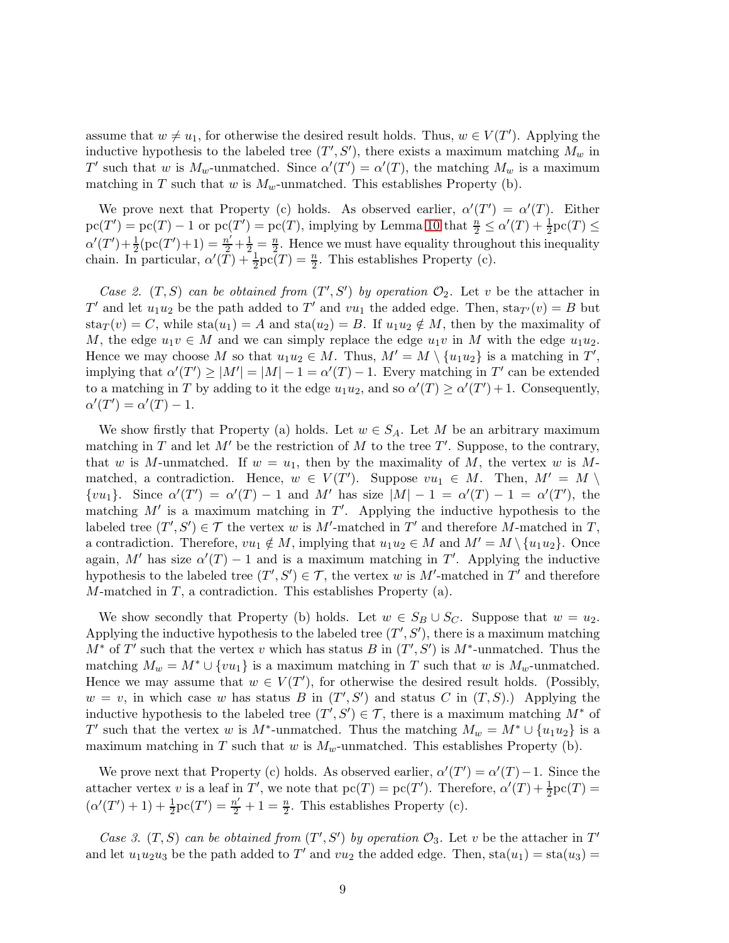assume that  $w \neq u_1$ , for otherwise the desired result holds. Thus,  $w \in V(T')$ . Applying the inductive hypothesis to the labeled tree  $(T', S')$ , there exists a maximum matching  $M_w$  in T' such that w is  $M_w$ -unmatched. Since  $\alpha'(T') = \alpha'(T)$ , the matching  $M_w$  is a maximum matching in T such that w is  $M_w$ -unmatched. This establishes Property (b).

We prove next that Property (c) holds. As observed earlier,  $\alpha'(T') = \alpha'(T)$ . Either  $\text{pc}(T') = \text{pc}(T) - 1$  or  $\text{pc}(T') = \text{pc}(T)$ , implying by Lemma [10](#page-5-1) that  $\frac{n}{2} \leq \alpha'(T) + \frac{1}{2}\text{pc}(T) \leq$  $\alpha'(T') + \frac{1}{2}(\text{pc}(T') + 1) = \frac{n'}{2} + \frac{1}{2} = \frac{n}{2}$  $\frac{n}{2}$ . Hence we must have equality throughout this inequality chain. In particular,  $\alpha'(\overline{T}) + \frac{1}{2} \overline{p}c(T) = \frac{n}{2}$ . This establishes Property (c).

*Case 2.*  $(T, S)$  *can be obtained from*  $(T', S')$  *by operation*  $\mathcal{O}_2$ *.* Let v be the attacher in T' and let  $u_1u_2$  be the path added to T' and  $vu_1$  the added edge. Then,  $\text{sta}_{T'}(v) = B$  but  $\text{sta}_{T}(v) = C$ , while  $\text{sta}(u_1) = A$  and  $\text{sta}(u_2) = B$ . If  $u_1u_2 \notin M$ , then by the maximality of M, the edge  $u_1v \in M$  and we can simply replace the edge  $u_1v$  in M with the edge  $u_1u_2$ . Hence we may choose M so that  $u_1u_2 \in M$ . Thus,  $M' = M \setminus \{u_1u_2\}$  is a matching in  $T'$ , implying that  $\alpha'(T') \ge |M'| = |M| - 1 = \alpha'(T) - 1$ . Every matching in T' can be extended to a matching in T by adding to it the edge  $u_1u_2$ , and so  $\alpha'(T) \ge \alpha'(T') + 1$ . Consequently,  $\alpha'(T') = \alpha'(T) - 1.$ 

We show firstly that Property (a) holds. Let  $w \in S_A$ . Let M be an arbitrary maximum matching in T and let  $M'$  be the restriction of M to the tree T'. Suppose, to the contrary, that w is M-unmatched. If  $w = u_1$ , then by the maximality of M, the vertex w is Mmatched, a contradiction. Hence,  $w \in V(T')$ . Suppose  $vu_1 \in M$ . Then,  $M' = M \setminus$  $\{vu_1\}$ . Since  $\alpha'(T') = \alpha'(T) - 1$  and M' has size  $|M| - 1 = \alpha'(T) - 1 = \alpha'(T')$ , the matching  $M'$  is a maximum matching in  $T'$ . Applying the inductive hypothesis to the labeled tree  $(T', S') \in \mathcal{T}$  the vertex w is M'-matched in T' and therefore M-matched in T, a contradiction. Therefore,  $vu_1 \notin M$ , implying that  $u_1u_2 \in M$  and  $M' = M \setminus \{u_1u_2\}$ . Once again, M' has size  $\alpha'(T) - 1$  and is a maximum matching in T'. Applying the inductive hypothesis to the labeled tree  $(T', S') \in \mathcal{T}$ , the vertex w is M'-matched in T' and therefore  $M$ -matched in  $T$ , a contradiction. This establishes Property (a).

We show secondly that Property (b) holds. Let  $w \in S_B \cup S_C$ . Suppose that  $w = u_2$ . Applying the inductive hypothesis to the labeled tree  $(T', S')$ , there is a maximum matching  $M^*$  of T' such that the vertex v which has status B in  $(T', S')$  is  $M^*$ -unmatched. Thus the matching  $M_w = M^* \cup \{vu_1\}$  is a maximum matching in T such that w is  $M_w$ -unmatched. Hence we may assume that  $w \in V(T')$ , for otherwise the desired result holds. (Possibly,  $w = v$ , in which case w has status B in  $(T', S')$  and status C in  $(T, S)$ .) Applying the inductive hypothesis to the labeled tree  $(T', S') \in \mathcal{T}$ , there is a maximum matching  $M^*$  of T' such that the vertex w is M<sup>\*</sup>-unmatched. Thus the matching  $M_w = M^* \cup \{u_1u_2\}$  is a maximum matching in T such that w is  $M_w$ -unmatched. This establishes Property (b).

We prove next that Property (c) holds. As observed earlier,  $\alpha'(T') = \alpha'(T) - 1$ . Since the attacher vertex v is a leaf in T', we note that  $pc(T) = pc(T')$ . Therefore,  $\alpha'(T) + \frac{1}{2}pc(T) =$  $(\alpha'(T')+1)+\frac{1}{2}\text{pc}(T')=\frac{n'}{2}+1=\frac{n}{2}$ . This establishes Property (c).

*Case 3.*  $(T, S)$  *can be obtained from*  $(T', S')$  *by operation*  $\mathcal{O}_3$ . Let v be the attacher in T' and let  $u_1u_2u_3$  be the path added to T' and  $vu_2$  the added edge. Then,  $sta(u_1) = sta(u_3)$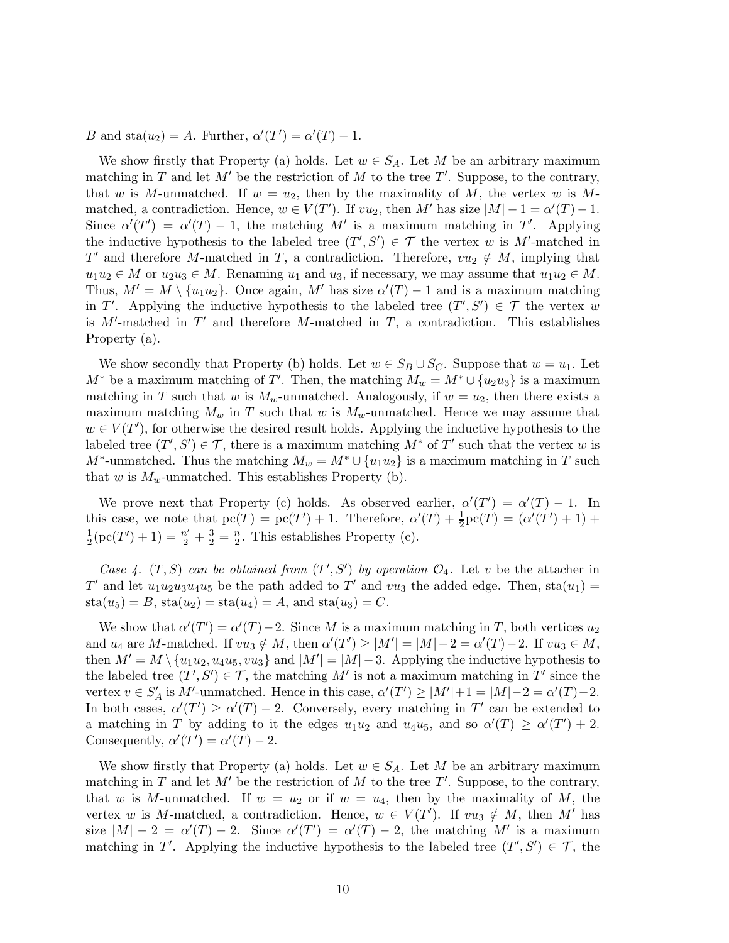B and sta $(u_2) = A$ . Further,  $\alpha'(T') = \alpha'(T) - 1$ .

We show firstly that Property (a) holds. Let  $w \in S_A$ . Let M be an arbitrary maximum matching in T and let  $M'$  be the restriction of M to the tree T'. Suppose, to the contrary, that w is M-unmatched. If  $w = u_2$ , then by the maximality of M, the vertex w is Mmatched, a contradiction. Hence,  $w \in V(T')$ . If  $vu_2$ , then M' has size  $|M| - 1 = \alpha'(T) - 1$ . Since  $\alpha'(T') = \alpha'(T) - 1$ , the matching M' is a maximum matching in T'. Applying the inductive hypothesis to the labeled tree  $(T', S') \in \mathcal{T}$  the vertex w is M'-matched in T' and therefore M-matched in T, a contradiction. Therefore,  $vu_2 \notin M$ , implying that  $u_1u_2 \in M$  or  $u_2u_3 \in M$ . Renaming  $u_1$  and  $u_3$ , if necessary, we may assume that  $u_1u_2 \in M$ . Thus,  $M' = M \setminus \{u_1u_2\}$ . Once again, M' has size  $\alpha'(T) - 1$  and is a maximum matching in T'. Applying the inductive hypothesis to the labeled tree  $(T', S') \in \mathcal{T}$  the vertex w is  $M'$ -matched in  $T'$  and therefore  $M$ -matched in  $T$ , a contradiction. This establishes Property (a).

We show secondly that Property (b) holds. Let  $w \in S_B \cup S_C$ . Suppose that  $w = u_1$ . Let  $M^*$  be a maximum matching of T'. Then, the matching  $M_w = M^* \cup \{u_2u_3\}$  is a maximum matching in T such that w is  $M_w$ -unmatched. Analogously, if  $w = u_2$ , then there exists a maximum matching  $M_w$  in T such that w is  $M_w$ -unmatched. Hence we may assume that  $w \in V(T')$ , for otherwise the desired result holds. Applying the inductive hypothesis to the labeled tree  $(T', S') \in \mathcal{T}$ , there is a maximum matching  $M^*$  of  $T'$  such that the vertex w is  $M^*$ -unmatched. Thus the matching  $M_w = M^* \cup \{u_1u_2\}$  is a maximum matching in T such that w is  $M_w$ -unmatched. This establishes Property (b).

We prove next that Property (c) holds. As observed earlier,  $\alpha'(T') = \alpha'(T) - 1$ . In this case, we note that  $pc(T) = pc(T') + 1$ . Therefore,  $\alpha'(T) + \frac{1}{2}pc(T) = (\alpha'(T') + 1) +$ 1  $\frac{1}{2}(\text{pc}(T')+1) = \frac{n'}{2} + \frac{3}{2} = \frac{n}{2}$  $\frac{n}{2}$ . This establishes Property (c).

*Case 4.*  $(T, S)$  *can be obtained from*  $(T', S')$  *by operation*  $\mathcal{O}_4$ *.* Let v be the attacher in T' and let  $u_1u_2u_3u_4u_5$  be the path added to T' and  $vu_3$  the added edge. Then,  $sta(u_1)$  =  $sta(u_5) = B$ ,  $sta(u_2) = sta(u_4) = A$ , and  $sta(u_3) = C$ .

We show that  $\alpha'(T') = \alpha'(T) - 2$ . Since M is a maximum matching in T, both vertices  $u_2$ and  $u_4$  are M-matched. If  $vu_3 \notin M$ , then  $\alpha'(T') \ge |M'| = |M| - 2 = \alpha'(T) - 2$ . If  $vu_3 \in M$ , then  $M' = M \setminus \{u_1u_2, u_4u_5, vu_3\}$  and  $|M'| = |M| - 3$ . Applying the inductive hypothesis to the labeled tree  $(T', S') \in \mathcal{T}$ , the matching M' is not a maximum matching in T' since the vertex  $v \in S'_A$  is M'-unmatched. Hence in this case,  $\alpha'(T') \ge |M'| + 1 = |M| - 2 = \alpha'(T) - 2$ . In both cases,  $\alpha'(T') \geq \alpha'(T) - 2$ . Conversely, every matching in T' can be extended to a matching in T by adding to it the edges  $u_1u_2$  and  $u_4u_5$ , and so  $\alpha'(T) \geq \alpha'(T') + 2$ . Consequently,  $\alpha'(T') = \alpha'(T) - 2$ .

We show firstly that Property (a) holds. Let  $w \in S_A$ . Let M be an arbitrary maximum matching in T and let  $M'$  be the restriction of M to the tree T'. Suppose, to the contrary, that w is M-unmatched. If  $w = u_2$  or if  $w = u_4$ , then by the maximality of M, the vertex w is M-matched, a contradiction. Hence,  $w \in V(T')$ . If  $vu_3 \notin M$ , then M' has size  $|M| - 2 = \alpha'(T) - 2$ . Since  $\alpha'(T') = \alpha'(T) - 2$ , the matching M' is a maximum matching in T'. Applying the inductive hypothesis to the labeled tree  $(T', S') \in \mathcal{T}$ , the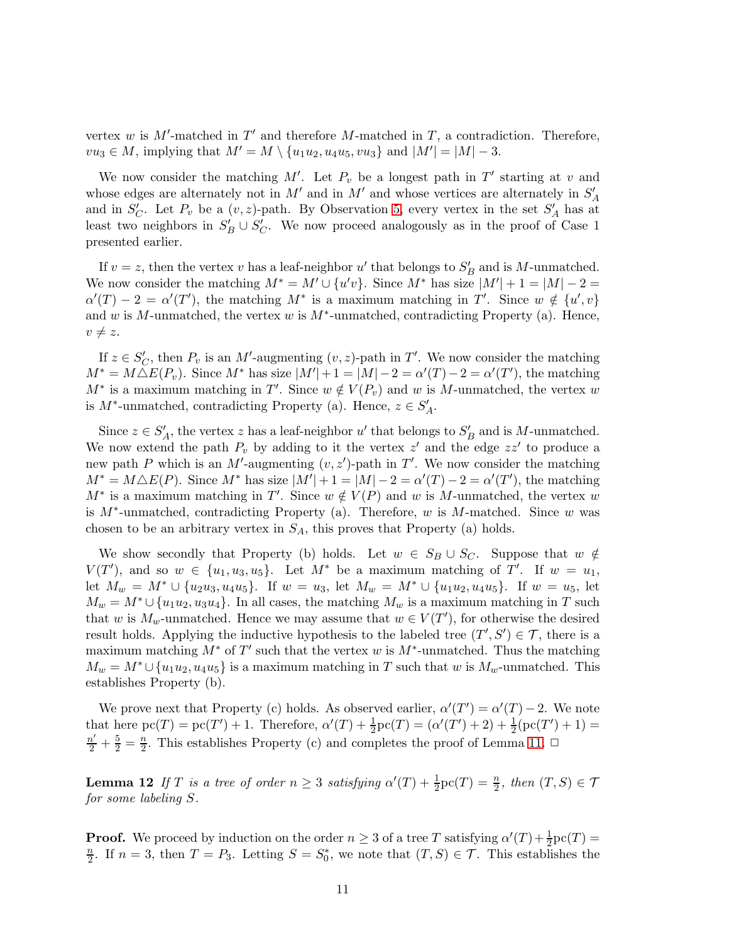vertex w is  $M'$ -matched in  $T'$  and therefore M-matched in  $T$ , a contradiction. Therefore,  $vu_3 \in M$ , implying that  $M' = M \setminus \{u_1u_2, u_4u_5, vu_3\}$  and  $|M'| = |M| - 3$ .

We now consider the matching  $M'$ . Let  $P_v$  be a longest path in  $T'$  starting at v and whose edges are alternately not in  $M'$  and in  $M'$  and whose vertices are alternately in  $S'_{A}$ and in  $S_C'$ . Let  $P_v$  be a  $(v, z)$ -path. By Observation [5,](#page-3-0) every vertex in the set  $S_A'$  has at least two neighbors in  $S'_B \cup S'_C$ . We now proceed analogously as in the proof of Case 1 presented earlier.

If  $v = z$ , then the vertex v has a leaf-neighbor u' that belongs to  $S'_B$  and is M-unmatched. We now consider the matching  $M^* = M' \cup \{u'v\}$ . Since  $M^*$  has size  $|M'| + 1 = |M| - 2 =$  $\alpha'(T) - 2 = \alpha'(T')$ , the matching  $M^*$  is a maximum matching in T'. Since  $w \notin \{u', v\}$ and w is M-unmatched, the vertex w is  $M^*$ -unmatched, contradicting Property (a). Hence,  $v \neq z$ .

If  $z \in S_C'$ , then  $P_v$  is an M'-augmenting  $(v, z)$ -path in T'. We now consider the matching  $M^* = M \Delta E(P_v)$ . Since  $M^*$  has size  $|M'| + 1 = |M| - 2 = \alpha'(T) - 2 = \alpha'(T')$ , the matching  $M^*$  is a maximum matching in T'. Since  $w \notin V(P_v)$  and w is M-unmatched, the vertex w is  $M^*$ -unmatched, contradicting Property (a). Hence,  $z \in S'_A$ .

Since  $z \in S'_A$ , the vertex z has a leaf-neighbor u' that belongs to  $S'_B$  and is M-unmatched. We now extend the path  $P_v$  by adding to it the vertex  $z'$  and the edge  $zz'$  to produce a new path P which is an M'-augmenting  $(v, z')$ -path in T'. We now consider the matching  $M^* = M \triangle E(P)$ . Since  $M^*$  has size  $|M'| + 1 = |M| - 2 = \alpha'(T) - 2 = \alpha'(T')$ , the matching  $M^*$  is a maximum matching in T'. Since  $w \notin V(P)$  and w is M-unmatched, the vertex w is  $M^*$ -unmatched, contradicting Property (a). Therefore, w is  $M$ -matched. Since w was chosen to be an arbitrary vertex in  $S_A$ , this proves that Property (a) holds.

We show secondly that Property (b) holds. Let  $w \in S_B \cup S_C$ . Suppose that  $w \notin$  $V(T')$ , and so  $w \in \{u_1, u_3, u_5\}$ . Let  $M^*$  be a maximum matching of T'. If  $w = u_1$ , let  $M_w = M^* \cup \{u_2u_3, u_4u_5\}$ . If  $w = u_3$ , let  $M_w = M^* \cup \{u_1u_2, u_4u_5\}$ . If  $w = u_5$ , let  $M_w = M^* \cup \{u_1u_2, u_3u_4\}.$  In all cases, the matching  $M_w$  is a maximum matching in T such that w is  $M_w$ -unmatched. Hence we may assume that  $w \in V(T')$ , for otherwise the desired result holds. Applying the inductive hypothesis to the labeled tree  $(T', S') \in \mathcal{T}$ , there is a maximum matching  $M^*$  of T' such that the vertex w is  $M^*$ -unmatched. Thus the matching  $M_w = M^* \cup \{u_1u_2, u_4u_5\}$  is a maximum matching in T such that w is  $M_w$ -unmatched. This establishes Property (b).

We prove next that Property (c) holds. As observed earlier,  $\alpha'(T') = \alpha'(T) - 2$ . We note that here  $pc(T) = pc(T') + 1$ . Therefore,  $\alpha'(T) + \frac{1}{2}pc(T) = (\alpha'(T') + 2) + \frac{1}{2}(pc(T') + 1) =$  $\frac{n'}{2}+\frac{5}{2}=\frac{n}{2}$  $\frac{n}{2}$ . This establishes Property (c) and completes the proof of Lemma [11.](#page-6-0)  $\Box$ 

<span id="page-10-0"></span>**Lemma 12** If T is a tree of order  $n \geq 3$  satisfying  $\alpha'(T) + \frac{1}{2}\text{pc}(T) = \frac{n}{2}$ , then  $(T, S) \in \mathcal{T}$ *for some labeling* S*.*

**Proof.** We proceed by induction on the order  $n \geq 3$  of a tree T satisfying  $\alpha'(T) + \frac{1}{2}pc(T) =$ n  $\frac{n}{2}$ . If  $n=3$ , then  $T=P_3$ . Letting  $S=S_0^*$ , we note that  $(T, S) \in \mathcal{T}$ . This establishes the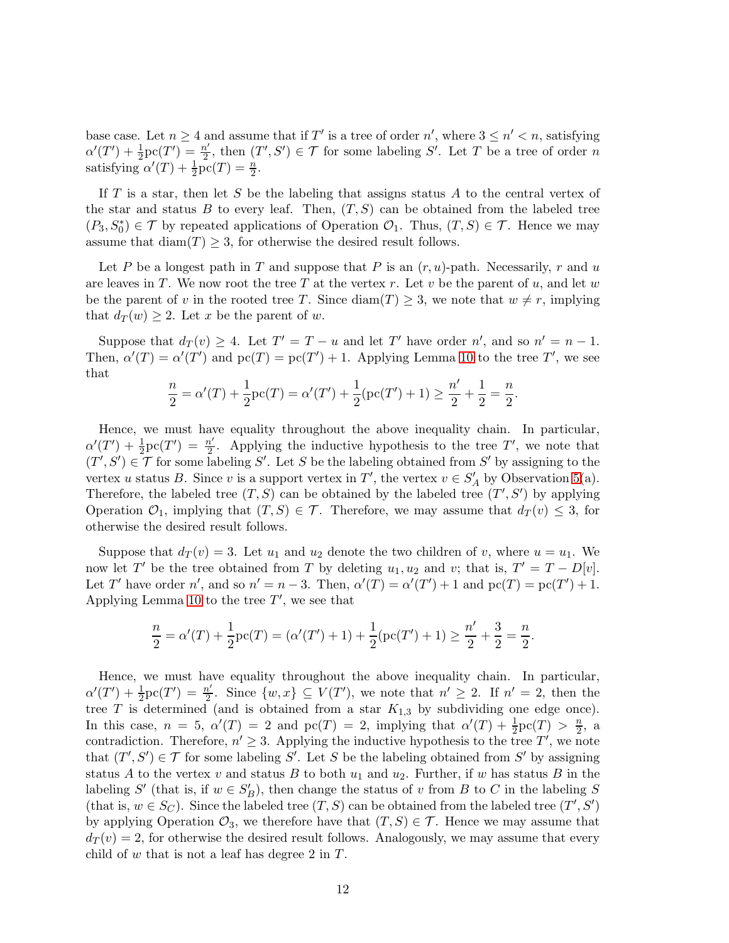base case. Let  $n \geq 4$  and assume that if T' is a tree of order n', where  $3 \leq n' < n$ , satisfying  $\alpha'(T') + \frac{1}{2}\text{pc}(T') = \frac{n'}{2}$  $\frac{n'}{2}$ , then  $(T', S') \in \mathcal{T}$  for some labeling S'. Let T be a tree of order n satisfying  $\alpha'(T) + \frac{1}{2}\overline{\mathrm{pc}}(T) = \frac{n}{2}$ .

If  $T$  is a star, then let  $S$  be the labeling that assigns status  $A$  to the central vertex of the star and status B to every leaf. Then,  $(T, S)$  can be obtained from the labeled tree  $(P_3, S_0^*) \in \mathcal{T}$  by repeated applications of Operation  $\mathcal{O}_1$ . Thus,  $(T, S) \in \mathcal{T}$ . Hence we may assume that  $\text{diam}(T) \geq 3$ , for otherwise the desired result follows.

Let P be a longest path in T and suppose that P is an  $(r, u)$ -path. Necessarily, r and u are leaves in T. We now root the tree T at the vertex r. Let v be the parent of  $u$ , and let w be the parent of v in the rooted tree T. Since  $\text{diam}(T) \geq 3$ , we note that  $w \neq r$ , implying that  $d_T(w) > 2$ . Let x be the parent of w.

Suppose that  $d_T(v) \geq 4$ . Let  $T' = T - u$  and let T' have order n', and so  $n' = n - 1$ . Then,  $\alpha'(T) = \alpha'(T')$  and  $\text{pc}(T) = \text{pc}(T') + 1$ . Applying Lemma [10](#page-5-1) to the tree T', we see that

$$
\frac{n}{2} = \alpha'(T) + \frac{1}{2}\text{pc}(T) = \alpha'(T') + \frac{1}{2}(\text{pc}(T') + 1) \ge \frac{n'}{2} + \frac{1}{2} = \frac{n}{2}.
$$

Hence, we must have equality throughout the above inequality chain. In particular,  $\alpha'(T') + \frac{1}{2}\text{pc}(T') = \frac{n'}{2}$  $\frac{n'}{2}$ . Applying the inductive hypothesis to the tree T', we note that  $(T', S') \in \mathcal{T}$  for some labeling S'. Let S be the labeling obtained from S' by assigning to the vertex u status B. Since v is a support vertex in T', the vertex  $v \in S'_A$  by Observation [5\(](#page-3-0)a). Therefore, the labeled tree  $(T, S)$  can be obtained by the labeled tree  $(T', S')$  by applying Operation  $\mathcal{O}_1$ , implying that  $(T, S) \in \mathcal{T}$ . Therefore, we may assume that  $d_T(v) \leq 3$ , for otherwise the desired result follows.

Suppose that  $d_T(v) = 3$ . Let  $u_1$  and  $u_2$  denote the two children of v, where  $u = u_1$ . We now let T' be the tree obtained from T by deleting  $u_1, u_2$  and v; that is,  $T' = T - D[v]$ . Let T' have order n', and so  $n' = n - 3$ . Then,  $\alpha'(T) = \alpha'(T') + 1$  and  $\text{pc}(T) = \text{pc}(T') + 1$ . Applying Lemma [10](#page-5-1) to the tree  $T'$ , we see that

$$
\frac{n}{2} = \alpha'(T) + \frac{1}{2}\text{pc}(T) = (\alpha'(T') + 1) + \frac{1}{2}(\text{pc}(T') + 1) \ge \frac{n'}{2} + \frac{3}{2} = \frac{n}{2}.
$$

Hence, we must have equality throughout the above inequality chain. In particular,  $\alpha'(T') + \frac{1}{2}\text{pc}(T') = \frac{n'}{2}$  $\frac{n'}{2}$ . Since  $\{w, x\} \subseteq V(T')$ , we note that  $n' \geq 2$ . If  $n' = 2$ , then the tree T is determined (and is obtained from a star  $K_{1,3}$  by subdividing one edge once). In this case,  $n = 5$ ,  $\alpha'(T) = 2$  and  $\text{pc}(T) = 2$ , implying that  $\alpha'(T) + \frac{1}{2}\text{pc}(T) > \frac{n}{2}$  $\frac{n}{2}$ , a contradiction. Therefore,  $n' \geq 3$ . Applying the inductive hypothesis to the tree T', we note that  $(T', S') \in \mathcal{T}$  for some labeling S'. Let S be the labeling obtained from S' by assigning status A to the vertex v and status B to both  $u_1$  and  $u_2$ . Further, if w has status B in the labeling S' (that is, if  $w \in S_B'$ ), then change the status of v from B to C in the labeling S (that is,  $w \in S_C$ ). Since the labeled tree  $(T, S)$  can be obtained from the labeled tree  $(T', S')$ by applying Operation  $\mathcal{O}_3$ , we therefore have that  $(T, S) \in \mathcal{T}$ . Hence we may assume that  $d_T(v) = 2$ , for otherwise the desired result follows. Analogously, we may assume that every child of w that is not a leaf has degree 2 in  $T$ .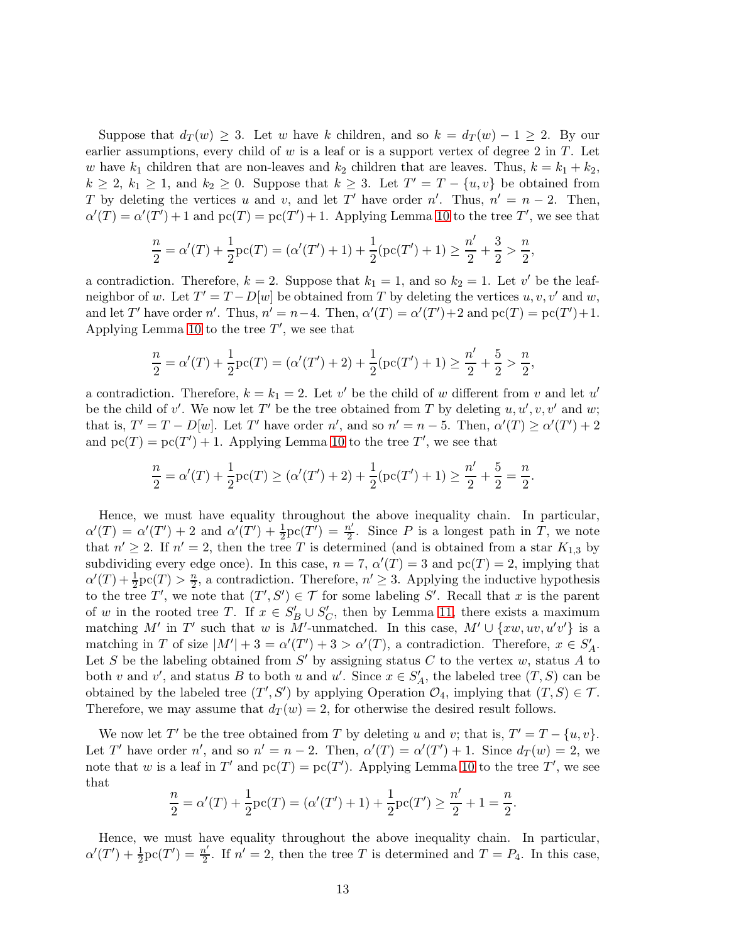Suppose that  $d_T(w) \geq 3$ . Let w have k children, and so  $k = d_T(w) - 1 \geq 2$ . By our earlier assumptions, every child of  $w$  is a leaf or is a support vertex of degree 2 in  $T$ . Let w have  $k_1$  children that are non-leaves and  $k_2$  children that are leaves. Thus,  $k = k_1 + k_2$ ,  $k \geq 2$ ,  $k_1 \geq 1$ , and  $k_2 \geq 0$ . Suppose that  $k \geq 3$ . Let  $T' = T - \{u, v\}$  be obtained from T by deleting the vertices u and v, and let T' have order n'. Thus,  $n' = n - 2$ . Then,  $\alpha'(T) = \alpha'(T') + 1$  and  $\text{pc}(T) = \text{pc}(T') + 1$ . Applying Lemma [10](#page-5-1) to the tree T', we see that

$$
\frac{n}{2} = \alpha'(T) + \frac{1}{2}\text{pc}(T) = (\alpha'(T') + 1) + \frac{1}{2}(\text{pc}(T') + 1) \ge \frac{n'}{2} + \frac{3}{2} > \frac{n}{2},
$$

a contradiction. Therefore,  $k = 2$ . Suppose that  $k_1 = 1$ , and so  $k_2 = 1$ . Let v' be the leafneighbor of w. Let  $T' = T - D[w]$  be obtained from T by deleting the vertices  $u, v, v'$  and  $w$ , and let T' have order n'. Thus,  $n' = n-4$ . Then,  $\alpha'(T) = \alpha'(T') + 2$  and  $\text{pc}(T) = \text{pc}(T') + 1$ . Applying Lemma [10](#page-5-1) to the tree  $T'$ , we see that

$$
\frac{n}{2} = \alpha'(T) + \frac{1}{2}\text{pc}(T) = (\alpha'(T') + 2) + \frac{1}{2}(\text{pc}(T') + 1) \ge \frac{n'}{2} + \frac{5}{2} > \frac{n}{2},
$$

a contradiction. Therefore,  $k = k_1 = 2$ . Let v' be the child of w different from v and let u' be the child of v'. We now let T' be the tree obtained from T by deleting  $u, u', v, v'$  and w; that is,  $T' = T - D[w]$ . Let T' have order n', and so  $n' = n - 5$ . Then,  $\alpha'(T) \ge \alpha'(T') + 2$ and  $pc(T) = pc(T') + 1$ . Applying Lemma [10](#page-5-1) to the tree T', we see that

$$
\frac{n}{2} = \alpha'(T) + \frac{1}{2}\text{pc}(T) \ge (\alpha'(T') + 2) + \frac{1}{2}(\text{pc}(T') + 1) \ge \frac{n'}{2} + \frac{5}{2} = \frac{n}{2}.
$$

Hence, we must have equality throughout the above inequality chain. In particular,  $\alpha'(T) = \alpha'(T') + 2$  and  $\alpha'(T') + \frac{1}{2}\text{pc}(T') = \frac{n'}{2}$  $\frac{n'}{2}$ . Since P is a longest path in T, we note that  $n' \geq 2$ . If  $n' = 2$ , then the tree T is determined (and is obtained from a star  $K_{1,3}$  by subdividing every edge once). In this case,  $n = 7$ ,  $\alpha'(T) = 3$  and  $\text{pc}(T) = 2$ , implying that  $\alpha'(T) + \frac{1}{2}\text{pc}(T) > \frac{n}{2}$  $\frac{n}{2}$ , a contradiction. Therefore,  $n' \geq 3$ . Applying the inductive hypothesis to the tree T', we note that  $(T', S') \in \mathcal{T}$  for some labeling S'. Recall that x is the parent of w in the rooted tree T. If  $x \in S_B' \cup S_C'$ , then by Lemma [11,](#page-6-0) there exists a maximum matching M' in T' such that w is M'-unmatched. In this case,  $M' \cup \{xw, uv, u'v'\}$  is a matching in T of size  $|M'| + 3 = \alpha'(T') + 3 > \alpha'(T)$ , a contradiction. Therefore,  $x \in S'_A$ . Let S be the labeling obtained from  $S'$  by assigning status C to the vertex w, status A to both v and v', and status B to both u and u'. Since  $x \in S'_A$ , the labeled tree  $(T, S)$  can be obtained by the labeled tree  $(T', S')$  by applying Operation  $\mathcal{O}_4$ , implying that  $(T, S) \in \mathcal{T}$ . Therefore, we may assume that  $d_T(w) = 2$ , for otherwise the desired result follows.

We now let T' be the tree obtained from T by deleting u and v; that is,  $T' = T - \{u, v\}$ . Let T' have order n', and so  $n' = n - 2$ . Then,  $\alpha'(T) = \alpha'(T') + 1$ . Since  $d_T(w) = 2$ , we note that w is a leaf in T' and  $pc(T) = pc(T')$ . Applying Lemma [10](#page-5-1) to the tree T', we see that

$$
\frac{n}{2} = \alpha'(T) + \frac{1}{2}\text{pc}(T) = (\alpha'(T') + 1) + \frac{1}{2}\text{pc}(T') \ge \frac{n'}{2} + 1 = \frac{n}{2}.
$$

Hence, we must have equality throughout the above inequality chain. In particular,  $\alpha'(T') + \frac{1}{2}\text{pc}(T') = \frac{n'}{2}$  $\frac{n'}{2}$ . If  $n' = 2$ , then the tree T is determined and  $T = P_4$ . In this case,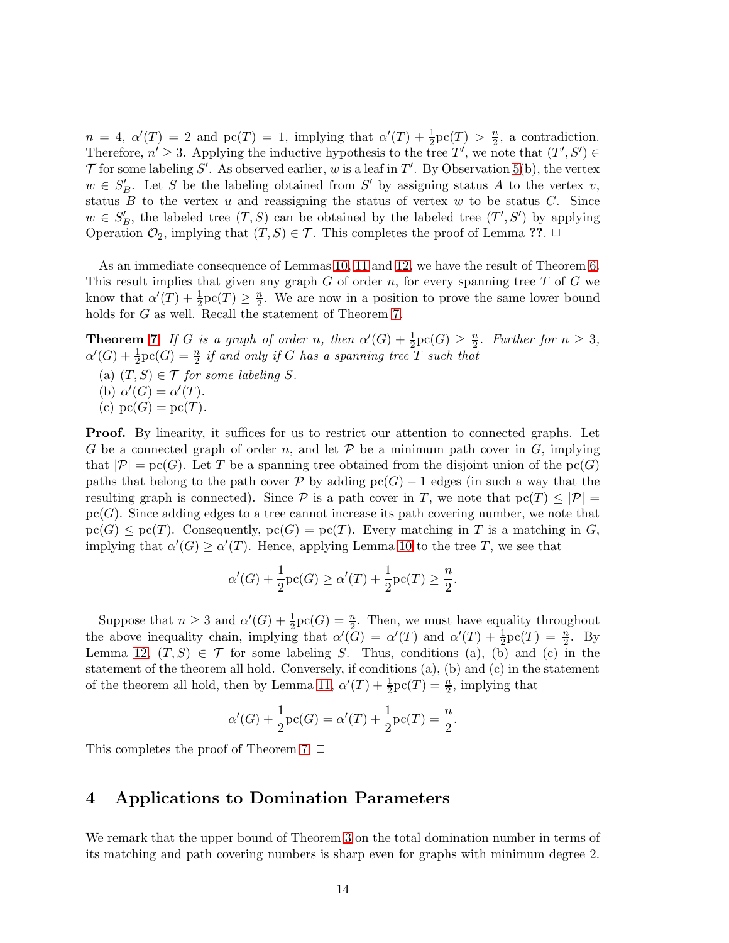$n = 4$ ,  $\alpha'(T) = 2$  and  $\text{pc}(T) = 1$ , implying that  $\alpha'(T) + \frac{1}{2}\text{pc}(T) > \frac{n}{2}$  $\frac{n}{2}$ , a contradiction. Therefore,  $n' \geq 3$ . Applying the inductive hypothesis to the tree T', we note that  $(T', S') \in$ T for some labeling S'. As observed earlier, w is a leaf in T'. By Observation [5\(](#page-3-0)b), the vertex  $w \in S'_B$ . Let S be the labeling obtained from S' by assigning status A to the vertex v, status  $B$  to the vertex  $u$  and reassigning the status of vertex  $w$  to be status  $C$ . Since  $w \in S'_B$ , the labeled tree  $(T, S)$  can be obtained by the labeled tree  $(T', S')$  by applying Operation  $\mathcal{O}_2$ , implying that  $(T, S) \in \mathcal{T}$ . This completes the proof of Lemma ??.  $\Box$ 

As an immediate consequence of Lemmas [10,](#page-5-1) [11](#page-6-0) and [12,](#page-10-0) we have the result of Theorem [6.](#page-4-2) This result implies that given any graph  $G$  of order  $n$ , for every spanning tree  $T$  of  $G$  we know that  $\alpha'(T) + \frac{1}{2}\text{pc}(T) \geq \frac{n}{2}$  $\frac{n}{2}$ . We are now in a position to prove the same lower bound holds for G as well. Recall the statement of Theorem [7.](#page-4-1)

**Theorem [7](#page-4-1)** *If* G is a graph of order n, then  $\alpha'(G) + \frac{1}{2}\text{pc}(G) \geq \frac{n}{2}$  $\frac{n}{2}$ *.* Further for  $n \geq 3$ ,  $\alpha'(G) + \frac{1}{2}\text{pc}(G) = \frac{n}{2}$  *if and only if* G *has a spanning tree* T *such that* 

- (a)  $(T, S) \in \mathcal{T}$  *for some labeling* S.
- (b)  $\alpha'(G) = \alpha'(T)$ *.*
- (c)  $pc(G) = pc(T)$ .

Proof. By linearity, it suffices for us to restrict our attention to connected graphs. Let G be a connected graph of order n, and let  $P$  be a minimum path cover in G, implying that  $|\mathcal{P}| = \text{pc}(G)$ . Let T be a spanning tree obtained from the disjoint union of the  $\text{pc}(G)$ paths that belong to the path cover P by adding  $pc(G) - 1$  edges (in such a way that the resulting graph is connected). Since P is a path cover in T, we note that  $p(x) \leq |\mathcal{P}| =$  $pc(G)$ . Since adding edges to a tree cannot increase its path covering number, we note that  $\text{pc}(G) \leq \text{pc}(T)$ . Consequently,  $\text{pc}(G) = \text{pc}(T)$ . Every matching in T is a matching in G, implying that  $\alpha'(G) \geq \alpha'(T)$ . Hence, applying Lemma [10](#page-5-1) to the tree T, we see that

$$
\alpha'(G) + \frac{1}{2}\text{pc}(G) \ge \alpha'(T) + \frac{1}{2}\text{pc}(T) \ge \frac{n}{2}.
$$

Suppose that  $n \geq 3$  and  $\alpha'(G) + \frac{1}{2}\text{pc}(G) = \frac{n}{2}$ . Then, we must have equality throughout the above inequality chain, implying that  $\alpha'(\tilde{G}) = \alpha'(T)$  and  $\alpha'(T) + \frac{1}{2}\text{pc}(T) = \frac{n}{2}$ . By Lemma [12,](#page-10-0)  $(T, S) \in \mathcal{T}$  for some labeling S. Thus, conditions (a), (b) and (c) in the statement of the theorem all hold. Conversely, if conditions (a), (b) and (c) in the statement of the theorem all hold, then by Lemma [11,](#page-6-0)  $\alpha'(T) + \frac{1}{2}\text{pc}(T) = \frac{n}{2}$ , implying that

$$
\alpha'(G) + \frac{1}{2}\text{pc}(G) = \alpha'(T) + \frac{1}{2}\text{pc}(T) = \frac{n}{2}.
$$

<span id="page-13-0"></span>This completes the proof of Theorem [7.](#page-4-1)  $\Box$ 

# 4 Applications to Domination Parameters

We remark that the upper bound of Theorem [3](#page-2-0) on the total domination number in terms of its matching and path covering numbers is sharp even for graphs with minimum degree 2.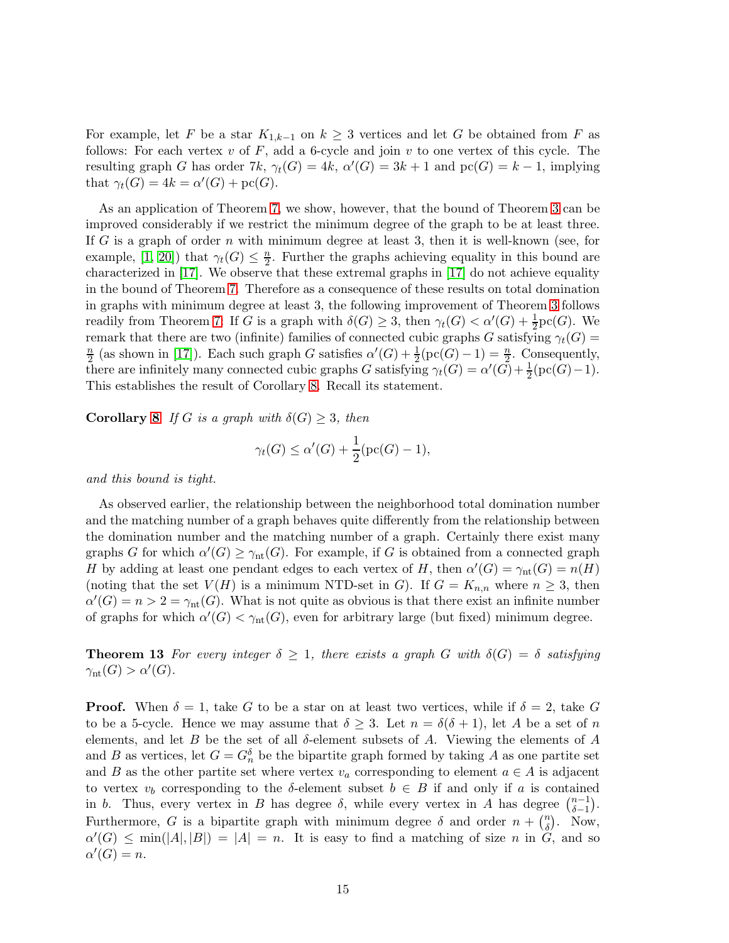For example, let F be a star  $K_{1,k-1}$  on  $k \geq 3$  vertices and let G be obtained from F as follows: For each vertex v of F, add a 6-cycle and join v to one vertex of this cycle. The resulting graph G has order 7k,  $\gamma_t(G) = 4k$ ,  $\alpha'(G) = 3k + 1$  and  $\text{pc}(G) = k - 1$ , implying that  $\gamma_t(G) = 4k = \alpha'(G) + \text{pc}(G)$ .

As an application of Theorem [7,](#page-4-1) we show, however, that the bound of Theorem [3](#page-2-0) can be improved considerably if we restrict the minimum degree of the graph to be at least three. If G is a graph of order n with minimum degree at least 3, then it is well-known (see, for example, [\[1,](#page-16-4) [20\]](#page-17-4)) that  $\gamma_t(G) \leq \frac{n}{2}$  $\frac{n}{2}$ . Further the graphs achieving equality in this bound are characterized in [\[17\]](#page-17-15). We observe that these extremal graphs in [\[17\]](#page-17-15) do not achieve equality in the bound of Theorem [7.](#page-4-1) Therefore as a consequence of these results on total domination in graphs with minimum degree at least 3, the following improvement of Theorem [3](#page-2-0) follows readily from Theorem [7:](#page-4-1) If G is a graph with  $\delta(G) \geq 3$ , then  $\gamma_t(G) < \alpha'(G) + \frac{1}{2} \text{pc}(G)$ . We remark that there are two (infinite) families of connected cubic graphs G satisfying  $\gamma_t(G)$  = n  $\frac{n}{2}$  (as shown in [\[17\]](#page-17-15)). Each such graph G satisfies  $\alpha'(G) + \frac{1}{2}(\text{pc}(G) - 1) = \frac{n}{2}$ . Consequently, there are infinitely many connected cubic graphs G satisfying  $\gamma_t(G) = \alpha'(G) + \frac{1}{2}(\text{pc}(G) - 1)$ . This establishes the result of Corollary [8.](#page-4-3) Recall its statement.

**Corollary [8](#page-4-3)** *If* G *is a graph with*  $\delta(G) \geq 3$ *, then* 

$$
\gamma_t(G) \le \alpha'(G) + \frac{1}{2}(\mathrm{pc}(G) - 1),
$$

*and this bound is tight.*

As observed earlier, the relationship between the neighborhood total domination number and the matching number of a graph behaves quite differently from the relationship between the domination number and the matching number of a graph. Certainly there exist many graphs G for which  $\alpha'(G) \geq \gamma_{\text{nt}}(G)$ . For example, if G is obtained from a connected graph H by adding at least one pendant edges to each vertex of H, then  $\alpha'(G) = \gamma_{nt}(G) = n(H)$ (noting that the set  $V(H)$  is a minimum NTD-set in G). If  $G = K_{n,n}$  where  $n \geq 3$ , then  $\alpha'(G) = n > 2 = \gamma_{\rm nt}(G)$ . What is not quite as obvious is that there exist an infinite number of graphs for which  $\alpha'(G) < \gamma_{nt}(G)$ , even for arbitrary large (but fixed) minimum degree.

**Theorem 13** For every integer  $\delta \geq 1$ , there exists a graph G with  $\delta(G) = \delta$  satisfying  $\gamma_{\rm nt}(G) > \alpha'(G).$ 

**Proof.** When  $\delta = 1$ , take G to be a star on at least two vertices, while if  $\delta = 2$ , take G to be a 5-cycle. Hence we may assume that  $\delta \geq 3$ . Let  $n = \delta(\delta + 1)$ , let A be a set of n elements, and let B be the set of all  $\delta$ -element subsets of A. Viewing the elements of A and B as vertices, let  $G = G_n^{\delta}$  be the bipartite graph formed by taking A as one partite set and B as the other partite set where vertex  $v_a$  corresponding to element  $a \in A$  is adjacent to vertex  $v_b$  corresponding to the  $\delta$ -element subset  $b \in B$  if and only if a is contained in b. Thus, every vertex in B has degree  $\delta$ , while every vertex in A has degree  $\binom{n-1}{\delta-1}$  $_{\delta-1}^{n-1}$ ). Furthermore, G is a bipartite graph with minimum degree  $\delta$  and order  $n + \binom{n}{\delta}$  $\binom{n}{\delta}$ . Now,  $\alpha'(G) \le \min(|A|, |B|) = |A| = n$ . It is easy to find a matching of size n in  $G$ , and so  $\alpha'(G) = n.$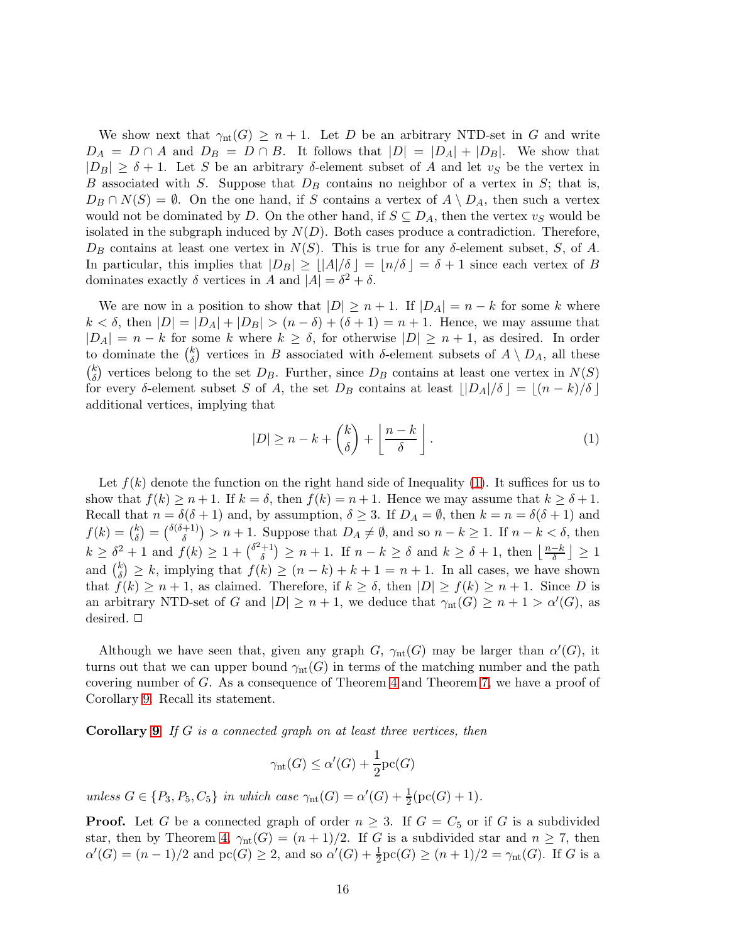We show next that  $\gamma_{nt}(G) \geq n+1$ . Let D be an arbitrary NTD-set in G and write  $D_A = D \cap A$  and  $D_B = D \cap B$ . It follows that  $|D| = |D_A| + |D_B|$ . We show that  $|D_B| \geq \delta + 1$ . Let S be an arbitrary  $\delta$ -element subset of A and let  $v_S$  be the vertex in B associated with S. Suppose that  $D_B$  contains no neighbor of a vertex in S; that is,  $D_B \cap N(S) = \emptyset$ . On the one hand, if S contains a vertex of  $A \setminus D_A$ , then such a vertex would not be dominated by D. On the other hand, if  $S \subseteq D_A$ , then the vertex  $v_S$  would be isolated in the subgraph induced by  $N(D)$ . Both cases produce a contradiction. Therefore,  $D_B$  contains at least one vertex in  $N(S)$ . This is true for any δ-element subset, S, of A. In particular, this implies that  $|D_B| \geq |A|/\delta = |n/\delta| = \delta + 1$  since each vertex of B dominates exactly  $\delta$  vertices in A and  $|A| = \delta^2 + \delta$ .

We are now in a position to show that  $|D| \ge n+1$ . If  $|D_A| = n - k$  for some k where  $k < \delta$ , then  $|D| = |D_A| + |D_B| > (n - \delta) + (\delta + 1) = n + 1$ . Hence, we may assume that  $|D_A| = n - k$  for some k where  $k \geq \delta$ , for otherwise  $|D| \geq n + 1$ , as desired. In order to dominate the  $\binom{k}{\delta}$  $\delta$ ) vertices in B associated with  $\delta$ -element subsets of  $A \setminus D_A$ , all these  $\binom{k}{s}$  $\binom{k}{\delta}$  vertices belong to the set  $D_B$ . Further, since  $D_B$  contains at least one vertex in  $N(S)$ for every δ-element subset S of A, the set  $D_B$  contains at least  $||D_A|/\delta$   $|| = |(n-k)/\delta||$ additional vertices, implying that

<span id="page-15-0"></span>
$$
|D| \ge n - k + \binom{k}{\delta} + \left\lfloor \frac{n - k}{\delta} \right\rfloor. \tag{1}
$$

Let  $f(k)$  denote the function on the right hand side of Inequality [\(1\)](#page-15-0). It suffices for us to show that  $f(k) \geq n+1$ . If  $k = \delta$ , then  $f(k) = n+1$ . Hence we may assume that  $k \geq \delta + 1$ . Recall that  $n = \delta(\delta + 1)$  and, by assumption,  $\delta \geq 3$ . If  $D_A = \emptyset$ , then  $k = n = \delta(\delta + 1)$  and  $f(k) = \binom{k}{\delta}$  $\binom{k}{\delta} = \binom{\delta(\delta+1)}{\delta}$  $\binom{+1}{\delta}$  > n + 1. Suppose that  $D_A \neq \emptyset$ , and so  $n - k \geq 1$ . If  $n - k < \delta$ , then  $k \geq \delta^2 + 1$  and  $f(k) \geq 1 + {\delta^2 + 1 \choose \delta}$  $\binom{+1}{\delta} \geq n+1$ . If  $n-k \geq \delta$  and  $k \geq \delta+1$ , then  $\lfloor \frac{n-k}{\delta} \rfloor \geq 1$ and  $\binom{k}{\delta}$  $\binom{k}{\delta} \geq k$ , implying that  $f(k) \geq (n-k)+k+1=n+1$ . In all cases, we have shown that  $f(k) \geq n+1$ , as claimed. Therefore, if  $k \geq \delta$ , then  $|D| \geq f(k) \geq n+1$ . Since D is an arbitrary NTD-set of G and  $|D| \geq n+1$ , we deduce that  $\gamma_{nt}(G) \geq n+1 > \alpha'(G)$ , as desired.  $\square$ 

Although we have seen that, given any graph  $G$ ,  $\gamma_{nt}(G)$  may be larger than  $\alpha'(G)$ , it turns out that we can upper bound  $\gamma_{nt}(G)$  in terms of the matching number and the path covering number of G. As a consequence of Theorem [4](#page-3-1) and Theorem [7,](#page-4-1) we have a proof of Corollary [9.](#page-5-2) Recall its statement.

Corollary [9](#page-5-2) *If* G *is a connected graph on at least three vertices, then*

$$
\gamma_{\rm nt}(G) \le \alpha'(G) + \frac{1}{2} {\rm pc}(G)
$$

*unless*  $G \in \{P_3, P_5, C_5\}$  *in which case*  $\gamma_{nt}(G) = \alpha'(G) + \frac{1}{2}(\text{pc}(G) + 1)$ *.* 

**Proof.** Let G be a connected graph of order  $n \geq 3$ . If  $G = C_5$  or if G is a subdivided star, then by Theorem [4,](#page-3-1)  $\gamma_{nt}(G) = (n+1)/2$ . If G is a subdivided star and  $n \geq 7$ , then  $\alpha'(G) = (n-1)/2$  and  $\text{pc}(G) \geq 2$ , and so  $\alpha'(G) + \frac{1}{2}\text{pc}(G) \geq (n+1)/2 = \gamma_{\text{nt}}(G)$ . If G is a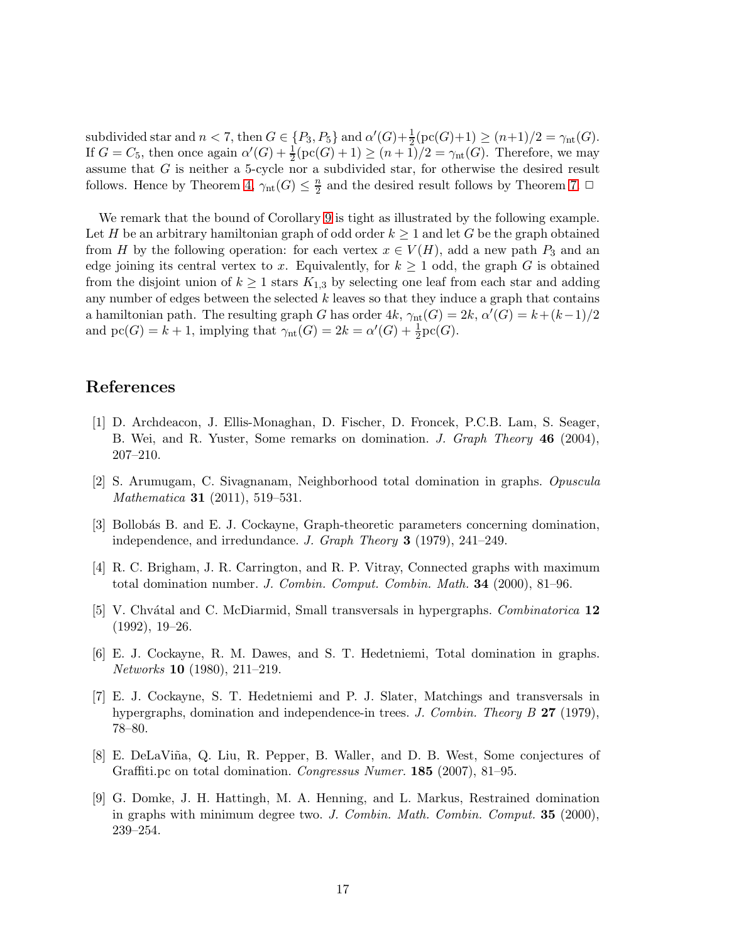subdivided star and  $n < 7$ , then  $G \in \{P_3, P_5\}$  and  $\alpha'(G) + \frac{1}{2}(\text{pc}(G) + 1) \ge (n+1)/2 = \gamma_{\text{nt}}(G)$ . If  $G = C_5$ , then once again  $\alpha'(G) + \frac{1}{2}(\text{pc}(G) + 1) \ge (n + 1)/2 = \gamma_{nt}(G)$ . Therefore, we may assume that  $G$  is neither a 5-cycle nor a subdivided star, for otherwise the desired result follows. Hence by Theorem [4,](#page-3-1)  $\gamma_{\rm nt}(G) \leq \frac{n}{2}$  $\frac{n}{2}$  and the desired result follows by Theorem [7.](#page-4-1)  $\Box$ 

We remark that the bound of Corollary [9](#page-5-2) is tight as illustrated by the following example. Let H be an arbitrary hamiltonian graph of odd order  $k \geq 1$  and let G be the graph obtained from H by the following operation: for each vertex  $x \in V(H)$ , add a new path  $P_3$  and an edge joining its central vertex to x. Equivalently, for  $k \geq 1$  odd, the graph G is obtained from the disjoint union of  $k \geq 1$  stars  $K_{1,3}$  by selecting one leaf from each star and adding any number of edges between the selected  $k$  leaves so that they induce a graph that contains a hamiltonian path. The resulting graph G has order  $4k$ ,  $\gamma_{nt}(G) = 2k$ ,  $\alpha'(G) = k + (k-1)/2$ and  $\text{pc}(G) = k + 1$ , implying that  $\gamma_{\text{nt}}(G) = 2k = \alpha'(G) + \frac{1}{2}\text{pc}(G)$ .

# <span id="page-16-4"></span>References

- [1] D. Archdeacon, J. Ellis-Monaghan, D. Fischer, D. Froncek, P.C.B. Lam, S. Seager, B. Wei, and R. Yuster, Some remarks on domination. *J. Graph Theory* 46 (2004), 207–210.
- <span id="page-16-1"></span><span id="page-16-0"></span>[2] S. Arumugam, C. Sivagnanam, Neighborhood total domination in graphs. *Opuscula Mathematica* 31 (2011), 519–531.
- [3] Bollobás B. and E. J. Cockayne, Graph-theoretic parameters concerning domination, independence, and irredundance. *J. Graph Theory* 3 (1979), 241–249.
- [4] R. C. Brigham, J. R. Carrington, and R. P. Vitray, Connected graphs with maximum total domination number. *J. Combin. Comput. Combin. Math.* 34 (2000), 81–96.
- [5] V. Chv´atal and C. McDiarmid, Small transversals in hypergraphs. *Combinatorica* 12 (1992), 19–26.
- [6] E. J. Cockayne, R. M. Dawes, and S. T. Hedetniemi, Total domination in graphs. *Networks* 10 (1980), 211–219.
- <span id="page-16-2"></span>[7] E. J. Cockayne, S. T. Hedetniemi and P. J. Slater, Matchings and transversals in hypergraphs, domination and independence-in trees. *J. Combin. Theory B* 27 (1979), 78–80.
- <span id="page-16-3"></span>[8] E. DeLaViña, Q. Liu, R. Pepper, B. Waller, and D. B. West, Some conjectures of Graffiti.pc on total domination. *Congressus Numer.* 185 (2007), 81–95.
- [9] G. Domke, J. H. Hattingh, M. A. Henning, and L. Markus, Restrained domination in graphs with minimum degree two. *J. Combin. Math. Combin. Comput.* 35 (2000), 239–254.